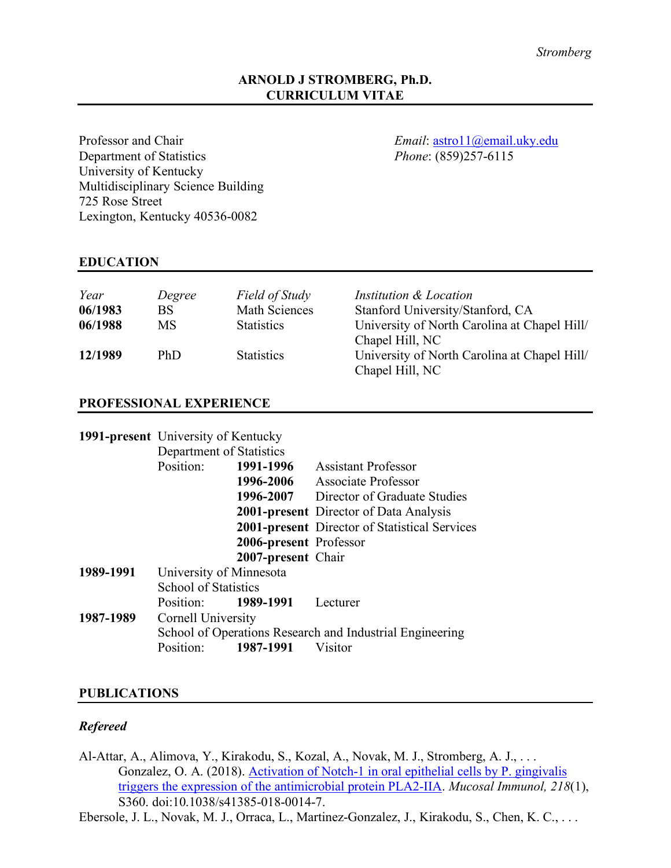### **ARNOLD J STROMBERG, Ph.D. CURRICULUM VITAE**

Professor and Chair *Email*: astro11@email.uky.edu Department of Statistics *Phone*: (859)257-6115 University of Kentucky Multidisciplinary Science Building 725 Rose Street Lexington, Kentucky 40536-0082

### **EDUCATION**

| Year    | Degree    | Field of Study       | Institution & Location                                          |
|---------|-----------|----------------------|-----------------------------------------------------------------|
| 06/1983 | <b>BS</b> | <b>Math Sciences</b> | Stanford University/Stanford, CA                                |
| 06/1988 | <b>MS</b> | <b>Statistics</b>    | University of North Carolina at Chapel Hill/<br>Chapel Hill, NC |
| 12/1989 | PhD       | <b>Statistics</b>    | University of North Carolina at Chapel Hill/<br>Chapel Hill, NC |

### **PROFESSIONAL EXPERIENCE**

| 1991-present University of Kentucky |                                                          |                                         |                                               |  |
|-------------------------------------|----------------------------------------------------------|-----------------------------------------|-----------------------------------------------|--|
|                                     | Department of Statistics                                 |                                         |                                               |  |
|                                     | Position:                                                | 1991-1996<br><b>Assistant Professor</b> |                                               |  |
|                                     |                                                          | 1996-2006                               | Associate Professor                           |  |
|                                     |                                                          | 1996-2007                               | Director of Graduate Studies                  |  |
|                                     |                                                          |                                         | <b>2001-present</b> Director of Data Analysis |  |
|                                     |                                                          |                                         | 2001-present Director of Statistical Services |  |
|                                     |                                                          | 2006-present Professor                  |                                               |  |
|                                     |                                                          | 2007-present Chair                      |                                               |  |
| 1989-1991                           | University of Minnesota                                  |                                         |                                               |  |
|                                     | <b>School of Statistics</b>                              |                                         |                                               |  |
|                                     | Position:                                                | 1989-1991                               | Lecturer                                      |  |
| 1987-1989                           | Cornell University                                       |                                         |                                               |  |
|                                     | School of Operations Research and Industrial Engineering |                                         |                                               |  |
|                                     | Position:                                                | 1987-1991                               | Visitor                                       |  |

### **PUBLICATIONS**

### *Refereed*

Al-Attar, A., Alimova, Y., Kirakodu, S., Kozal, A., Novak, M. J., Stromberg, A. J., . . . Gonzalez, O. A. (2018). Activation of Notch-1 in oral epithelial cells by P. gingivalis triggers the expression of the antimicrobial protein PLA2-IIA. *Mucosal Immunol, 218*(1), S360. doi:10.1038/s41385-018-0014-7.

Ebersole, J. L., Novak, M. J., Orraca, L., Martinez-Gonzalez, J., Kirakodu, S., Chen, K. C., . . .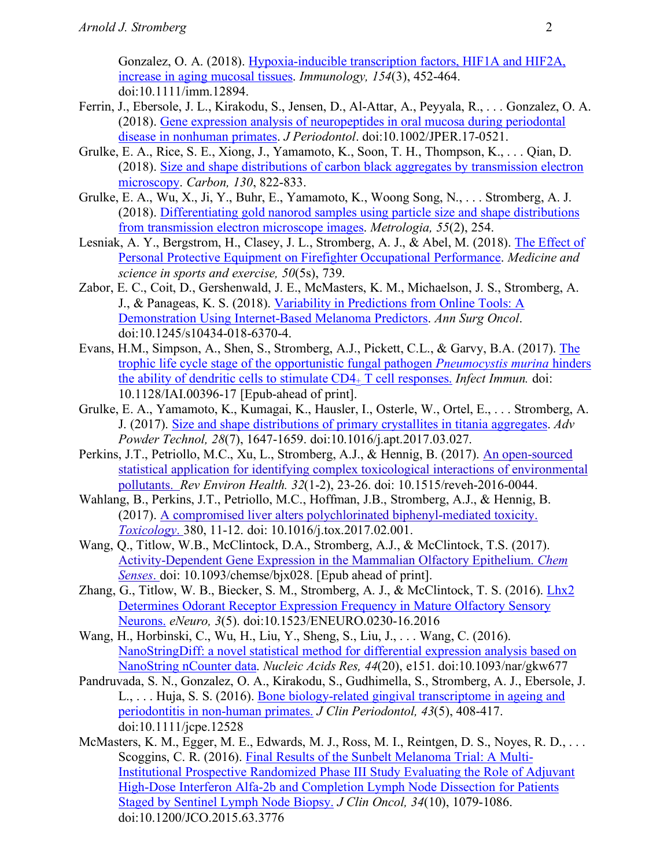Gonzalez, O. A. (2018). Hypoxia-inducible transcription factors, HIF1A and HIF2A, increase in aging mucosal tissues. *Immunology, 154*(3), 452-464. doi:10.1111/imm.12894.

- Ferrin, J., Ebersole, J. L., Kirakodu, S., Jensen, D., Al-Attar, A., Peyyala, R., . . . Gonzalez, O. A. (2018). Gene expression analysis of neuropeptides in oral mucosa during periodontal disease in nonhuman primates. *J Periodontol*. doi:10.1002/JPER.17-0521.
- Grulke, E. A., Rice, S. E., Xiong, J., Yamamoto, K., Soon, T. H., Thompson, K., . . . Qian, D. (2018). Size and shape distributions of carbon black aggregates by transmission electron microscopy. *Carbon, 130*, 822-833.
- Grulke, E. A., Wu, X., Ji, Y., Buhr, E., Yamamoto, K., Woong Song, N., . . . Stromberg, A. J. (2018). Differentiating gold nanorod samples using particle size and shape distributions from transmission electron microscope images. *Metrologia, 55*(2), 254.
- Lesniak, A. Y., Bergstrom, H., Clasey, J. L., Stromberg, A. J., & Abel, M. (2018). The Effect of Personal Protective Equipment on Firefighter Occupational Performance. *Medicine and science in sports and exercise, 50*(5s), 739.
- Zabor, E. C., Coit, D., Gershenwald, J. E., McMasters, K. M., Michaelson, J. S., Stromberg, A. J., & Panageas, K. S. (2018). Variability in Predictions from Online Tools: A Demonstration Using Internet-Based Melanoma Predictors. *Ann Surg Oncol*. doi:10.1245/s10434-018-6370-4.
- Evans, H.M., Simpson, A., Shen, S., Stromberg, A.J., Pickett, C.L., & Garvy, B.A. (2017). The trophic life cycle stage of the opportunistic fungal pathogen *Pneumocystis murina* hinders the ability of dendritic cells to stimulate CD4+ T cell responses. *Infect Immun.* doi: 10.1128/IAI.00396-17 [Epub-ahead of print].
- Grulke, E. A., Yamamoto, K., Kumagai, K., Hausler, I., Osterle, W., Ortel, E., . . . Stromberg, A. J. (2017). Size and shape distributions of primary crystallites in titania aggregates. *Adv Powder Technol, 28*(7), 1647-1659. doi:10.1016/j.apt.2017.03.027.
- Perkins, J.T., Petriollo, M.C., Xu, L., Stromberg, A.J., & Hennig, B. (2017). An open-sourced statistical application for identifying complex toxicological interactions of environmental pollutants. *Rev Environ Health. 32*(1-2), 23-26. doi: 10.1515/reveh-2016-0044.
- Wahlang, B., Perkins, J.T., Petriollo, M.C., Hoffman, J.B., Stromberg, A.J., & Hennig, B. (2017). A compromised liver alters polychlorinated biphenyl-mediated toxicity. *Toxicology*. 380, 11-12. doi: 10.1016/j.tox.2017.02.001.
- Wang, O., Titlow, W.B., McClintock, D.A., Stromberg, A.J., & McClintock, T.S. (2017). Activity-Dependent Gene Expression in the Mammalian Olfactory Epithelium. *Chem Senses*. doi: 10.1093/chemse/bjx028. [Epub ahead of print].
- Zhang, G., Titlow, W. B., Biecker, S. M., Stromberg, A. J., & McClintock, T. S. (2016). Lhx2 Determines Odorant Receptor Expression Frequency in Mature Olfactory Sensory Neurons. *eNeuro, 3*(5). doi:10.1523/ENEURO.0230-16.2016
- Wang, H., Horbinski, C., Wu, H., Liu, Y., Sheng, S., Liu, J., . . . Wang, C. (2016). NanoStringDiff: a novel statistical method for differential expression analysis based on NanoString nCounter data. *Nucleic Acids Res, 44*(20), e151. doi:10.1093/nar/gkw677
- Pandruvada, S. N., Gonzalez, O. A., Kirakodu, S., Gudhimella, S., Stromberg, A. J., Ebersole, J. L., . . . Huja, S. S. (2016). Bone biology-related gingival transcriptome in ageing and periodontitis in non-human primates. *J Clin Periodontol, 43*(5), 408-417. doi:10.1111/jcpe.12528
- McMasters, K. M., Egger, M. E., Edwards, M. J., Ross, M. I., Reintgen, D. S., Noyes, R. D., . . . Scoggins, C. R. (2016). Final Results of the Sunbelt Melanoma Trial: A Multi-Institutional Prospective Randomized Phase III Study Evaluating the Role of Adjuvant High-Dose Interferon Alfa-2b and Completion Lymph Node Dissection for Patients Staged by Sentinel Lymph Node Biopsy. *J Clin Oncol, 34*(10), 1079-1086. doi:10.1200/JCO.2015.63.3776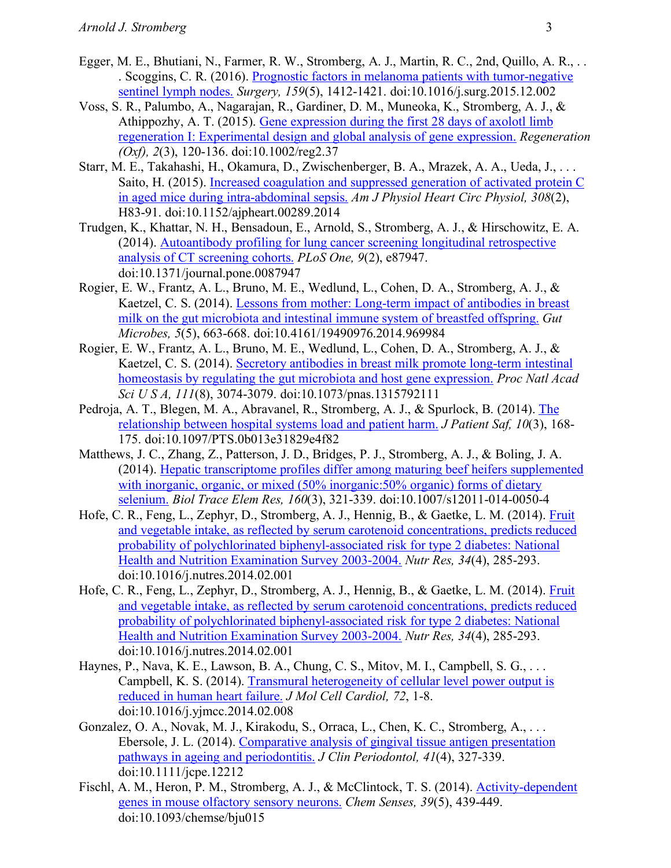- Egger, M. E., Bhutiani, N., Farmer, R. W., Stromberg, A. J., Martin, R. C., 2nd, Quillo, A. R., . . . Scoggins, C. R. (2016). Prognostic factors in melanoma patients with tumor-negative sentinel lymph nodes. *Surgery, 159*(5), 1412-1421. doi:10.1016/j.surg.2015.12.002
- Voss, S. R., Palumbo, A., Nagarajan, R., Gardiner, D. M., Muneoka, K., Stromberg, A. J., & Athippozhy, A. T. (2015). Gene expression during the first 28 days of axolotl limb regeneration I: Experimental design and global analysis of gene expression. *Regeneration (Oxf), 2*(3), 120-136. doi:10.1002/reg2.37
- Starr, M. E., Takahashi, H., Okamura, D., Zwischenberger, B. A., Mrazek, A. A., Ueda, J., . . . Saito, H. (2015). Increased coagulation and suppressed generation of activated protein C in aged mice during intra-abdominal sepsis. *Am J Physiol Heart Circ Physiol, 308*(2), H83-91. doi:10.1152/ajpheart.00289.2014
- Trudgen, K., Khattar, N. H., Bensadoun, E., Arnold, S., Stromberg, A. J., & Hirschowitz, E. A. (2014). Autoantibody profiling for lung cancer screening longitudinal retrospective analysis of CT screening cohorts. *PLoS One, 9*(2), e87947. doi:10.1371/journal.pone.0087947
- Rogier, E. W., Frantz, A. L., Bruno, M. E., Wedlund, L., Cohen, D. A., Stromberg, A. J., & Kaetzel, C. S. (2014). Lessons from mother: Long-term impact of antibodies in breast milk on the gut microbiota and intestinal immune system of breastfed offspring. *Gut Microbes, 5*(5), 663-668. doi:10.4161/19490976.2014.969984
- Rogier, E. W., Frantz, A. L., Bruno, M. E., Wedlund, L., Cohen, D. A., Stromberg, A. J., & Kaetzel, C. S. (2014). Secretory antibodies in breast milk promote long-term intestinal homeostasis by regulating the gut microbiota and host gene expression. *Proc Natl Acad Sci U S A, 111*(8), 3074-3079. doi:10.1073/pnas.1315792111
- Pedroja, A. T., Blegen, M. A., Abravanel, R., Stromberg, A. J., & Spurlock, B. (2014). The relationship between hospital systems load and patient harm. *J Patient Saf, 10*(3), 168- 175. doi:10.1097/PTS.0b013e31829e4f82
- Matthews, J. C., Zhang, Z., Patterson, J. D., Bridges, P. J., Stromberg, A. J., & Boling, J. A. (2014). Hepatic transcriptome profiles differ among maturing beef heifers supplemented with inorganic, organic, or mixed (50% inorganic: 50% organic) forms of dietary selenium. *Biol Trace Elem Res, 160*(3), 321-339. doi:10.1007/s12011-014-0050-4
- Hofe, C. R., Feng, L., Zephyr, D., Stromberg, A. J., Hennig, B., & Gaetke, L. M. (2014). Fruit and vegetable intake, as reflected by serum carotenoid concentrations, predicts reduced probability of polychlorinated biphenyl-associated risk for type 2 diabetes: National Health and Nutrition Examination Survey 2003-2004. *Nutr Res, 34*(4), 285-293. doi:10.1016/j.nutres.2014.02.001
- Hofe, C. R., Feng, L., Zephyr, D., Stromberg, A. J., Hennig, B., & Gaetke, L. M. (2014). Fruit and vegetable intake, as reflected by serum carotenoid concentrations, predicts reduced probability of polychlorinated biphenyl-associated risk for type 2 diabetes: National Health and Nutrition Examination Survey 2003-2004. *Nutr Res, 34*(4), 285-293. doi:10.1016/j.nutres.2014.02.001
- Haynes, P., Nava, K. E., Lawson, B. A., Chung, C. S., Mitov, M. I., Campbell, S. G., . . . Campbell, K. S. (2014). Transmural heterogeneity of cellular level power output is reduced in human heart failure. *J Mol Cell Cardiol, 72*, 1-8. doi:10.1016/j.yjmcc.2014.02.008
- Gonzalez, O. A., Novak, M. J., Kirakodu, S., Orraca, L., Chen, K. C., Stromberg, A., . . . Ebersole, J. L. (2014). Comparative analysis of gingival tissue antigen presentation pathways in ageing and periodontitis. *J Clin Periodontol, 41*(4), 327-339. doi:10.1111/jcpe.12212
- Fischl, A. M., Heron, P. M., Stromberg, A. J., & McClintock, T. S. (2014). Activity-dependent genes in mouse olfactory sensory neurons. *Chem Senses, 39*(5), 439-449. doi:10.1093/chemse/bju015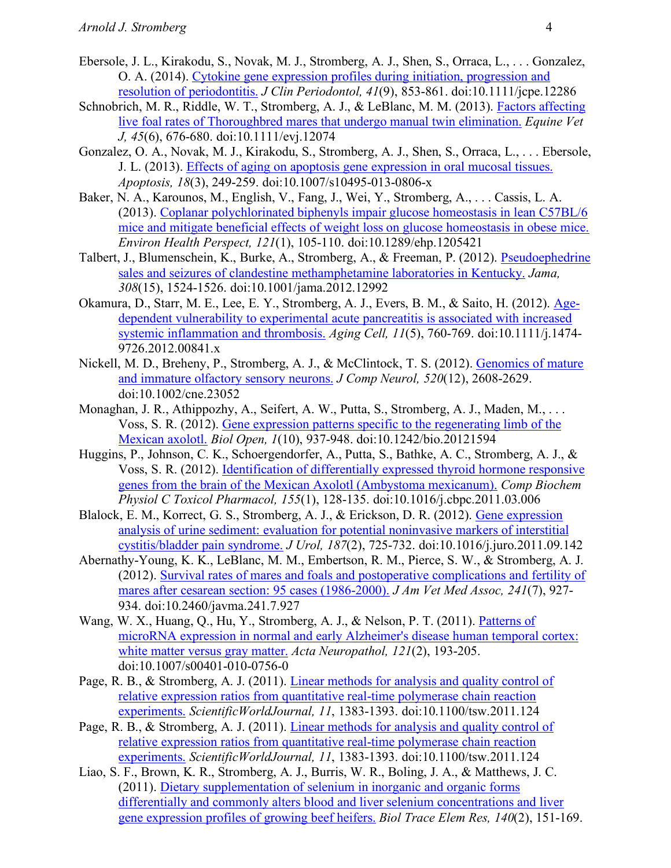- Ebersole, J. L., Kirakodu, S., Novak, M. J., Stromberg, A. J., Shen, S., Orraca, L., . . . Gonzalez, O. A. (2014). Cytokine gene expression profiles during initiation, progression and resolution of periodontitis. *J Clin Periodontol, 41*(9), 853-861. doi:10.1111/jcpe.12286
- Schnobrich, M. R., Riddle, W. T., Stromberg, A. J., & LeBlanc, M. M. (2013). Factors affecting live foal rates of Thoroughbred mares that undergo manual twin elimination. *Equine Vet J, 45*(6), 676-680. doi:10.1111/evj.12074
- Gonzalez, O. A., Novak, M. J., Kirakodu, S., Stromberg, A. J., Shen, S., Orraca, L., . . . Ebersole, J. L. (2013). Effects of aging on apoptosis gene expression in oral mucosal tissues. *Apoptosis, 18*(3), 249-259. doi:10.1007/s10495-013-0806-x
- Baker, N. A., Karounos, M., English, V., Fang, J., Wei, Y., Stromberg, A., . . . Cassis, L. A. (2013). Coplanar polychlorinated biphenyls impair glucose homeostasis in lean C57BL/6 mice and mitigate beneficial effects of weight loss on glucose homeostasis in obese mice. *Environ Health Perspect, 121*(1), 105-110. doi:10.1289/ehp.1205421
- Talbert, J., Blumenschein, K., Burke, A., Stromberg, A., & Freeman, P. (2012). Pseudoephedrine sales and seizures of clandestine methamphetamine laboratories in Kentucky. *Jama, 308*(15), 1524-1526. doi:10.1001/jama.2012.12992
- Okamura, D., Starr, M. E., Lee, E. Y., Stromberg, A. J., Evers, B. M., & Saito, H. (2012). Agedependent vulnerability to experimental acute pancreatitis is associated with increased systemic inflammation and thrombosis. *Aging Cell, 11*(5), 760-769. doi:10.1111/j.1474- 9726.2012.00841.x
- Nickell, M. D., Breheny, P., Stromberg, A. J., & McClintock, T. S. (2012). Genomics of mature and immature olfactory sensory neurons. *J Comp Neurol, 520*(12), 2608-2629. doi:10.1002/cne.23052
- Monaghan, J. R., Athippozhy, A., Seifert, A. W., Putta, S., Stromberg, A. J., Maden, M., ... Voss, S. R. (2012). Gene expression patterns specific to the regenerating limb of the Mexican axolotl. *Biol Open, 1*(10), 937-948. doi:10.1242/bio.20121594
- Huggins, P., Johnson, C. K., Schoergendorfer, A., Putta, S., Bathke, A. C., Stromberg, A. J., & Voss, S. R. (2012). Identification of differentially expressed thyroid hormone responsive genes from the brain of the Mexican Axolotl (Ambystoma mexicanum). *Comp Biochem Physiol C Toxicol Pharmacol, 155*(1), 128-135. doi:10.1016/j.cbpc.2011.03.006
- Blalock, E. M., Korrect, G. S., Stromberg, A. J., & Erickson, D. R. (2012). Gene expression analysis of urine sediment: evaluation for potential noninvasive markers of interstitial cystitis/bladder pain syndrome. *J Urol, 187*(2), 725-732. doi:10.1016/j.juro.2011.09.142
- Abernathy-Young, K. K., LeBlanc, M. M., Embertson, R. M., Pierce, S. W., & Stromberg, A. J. (2012). Survival rates of mares and foals and postoperative complications and fertility of mares after cesarean section: 95 cases (1986-2000). *J Am Vet Med Assoc, 241*(7), 927- 934. doi:10.2460/javma.241.7.927
- Wang, W. X., Huang, Q., Hu, Y., Stromberg, A. J., & Nelson, P. T. (2011). Patterns of microRNA expression in normal and early Alzheimer's disease human temporal cortex: white matter versus gray matter. *Acta Neuropathol, 121*(2), 193-205. doi:10.1007/s00401-010-0756-0
- Page, R. B., & Stromberg, A. J. (2011). *Linear methods for analysis and quality control of* relative expression ratios from quantitative real-time polymerase chain reaction experiments. *ScientificWorldJournal, 11*, 1383-1393. doi:10.1100/tsw.2011.124
- Page, R. B., & Stromberg, A. J. (2011). Linear methods for analysis and quality control of relative expression ratios from quantitative real-time polymerase chain reaction experiments. *ScientificWorldJournal, 11*, 1383-1393. doi:10.1100/tsw.2011.124
- Liao, S. F., Brown, K. R., Stromberg, A. J., Burris, W. R., Boling, J. A., & Matthews, J. C. (2011). Dietary supplementation of selenium in inorganic and organic forms differentially and commonly alters blood and liver selenium concentrations and liver gene expression profiles of growing beef heifers. *Biol Trace Elem Res, 140*(2), 151-169.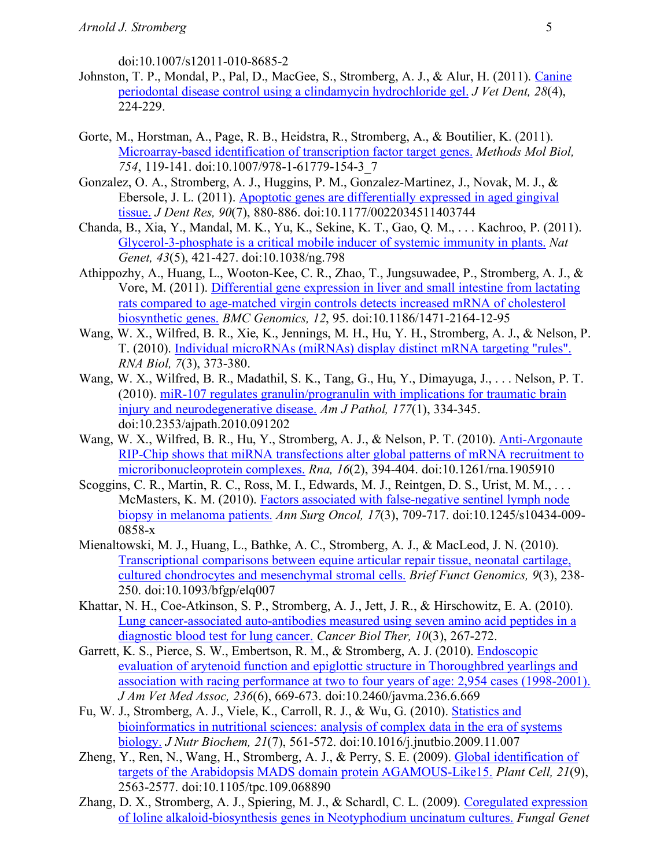doi:10.1007/s12011-010-8685-2

- Johnston, T. P., Mondal, P., Pal, D., MacGee, S., Stromberg, A. J., & Alur, H. (2011). Canine periodontal disease control using a clindamycin hydrochloride gel. *J Vet Dent, 28*(4), 224-229.
- Gorte, M., Horstman, A., Page, R. B., Heidstra, R., Stromberg, A., & Boutilier, K. (2011). Microarray-based identification of transcription factor target genes. *Methods Mol Biol, 754*, 119-141. doi:10.1007/978-1-61779-154-3\_7
- Gonzalez, O. A., Stromberg, A. J., Huggins, P. M., Gonzalez-Martinez, J., Novak, M. J., & Ebersole, J. L. (2011). Apoptotic genes are differentially expressed in aged gingival tissue. *J Dent Res, 90*(7), 880-886. doi:10.1177/0022034511403744
- Chanda, B., Xia, Y., Mandal, M. K., Yu, K., Sekine, K. T., Gao, Q. M., . . . Kachroo, P. (2011). Glycerol-3-phosphate is a critical mobile inducer of systemic immunity in plants. *Nat Genet, 43*(5), 421-427. doi:10.1038/ng.798
- Athippozhy, A., Huang, L., Wooton-Kee, C. R., Zhao, T., Jungsuwadee, P., Stromberg, A. J., & Vore, M. (2011). Differential gene expression in liver and small intestine from lactating rats compared to age-matched virgin controls detects increased mRNA of cholesterol biosynthetic genes. *BMC Genomics, 12*, 95. doi:10.1186/1471-2164-12-95
- Wang, W. X., Wilfred, B. R., Xie, K., Jennings, M. H., Hu, Y. H., Stromberg, A. J., & Nelson, P. T. (2010). Individual microRNAs (miRNAs) display distinct mRNA targeting "rules". *RNA Biol, 7*(3), 373-380.
- Wang, W. X., Wilfred, B. R., Madathil, S. K., Tang, G., Hu, Y., Dimayuga, J., . . . Nelson, P. T. (2010). miR-107 regulates granulin/progranulin with implications for traumatic brain injury and neurodegenerative disease. *Am J Pathol, 177*(1), 334-345. doi:10.2353/ajpath.2010.091202
- Wang, W. X., Wilfred, B. R., Hu, Y., Stromberg, A. J., & Nelson, P. T. (2010). Anti-Argonaute RIP-Chip shows that miRNA transfections alter global patterns of mRNA recruitment to microribonucleoprotein complexes. *Rna, 16*(2), 394-404. doi:10.1261/rna.1905910
- Scoggins, C. R., Martin, R. C., Ross, M. I., Edwards, M. J., Reintgen, D. S., Urist, M. M., ... McMasters, K. M. (2010). Factors associated with false-negative sentinel lymph node biopsy in melanoma patients. *Ann Surg Oncol, 17*(3), 709-717. doi:10.1245/s10434-009- 0858-x
- Mienaltowski, M. J., Huang, L., Bathke, A. C., Stromberg, A. J., & MacLeod, J. N. (2010). Transcriptional comparisons between equine articular repair tissue, neonatal cartilage, cultured chondrocytes and mesenchymal stromal cells. *Brief Funct Genomics, 9*(3), 238- 250. doi:10.1093/bfgp/elq007
- Khattar, N. H., Coe-Atkinson, S. P., Stromberg, A. J., Jett, J. R., & Hirschowitz, E. A. (2010). Lung cancer-associated auto-antibodies measured using seven amino acid peptides in a diagnostic blood test for lung cancer. *Cancer Biol Ther, 10*(3), 267-272.
- Garrett, K. S., Pierce, S. W., Embertson, R. M., & Stromberg, A. J. (2010). Endoscopic evaluation of arytenoid function and epiglottic structure in Thoroughbred yearlings and association with racing performance at two to four years of age: 2,954 cases (1998-2001). *J Am Vet Med Assoc, 236*(6), 669-673. doi:10.2460/javma.236.6.669
- Fu, W. J., Stromberg, A. J., Viele, K., Carroll, R. J., & Wu, G. (2010). Statistics and bioinformatics in nutritional sciences: analysis of complex data in the era of systems biology. *J Nutr Biochem, 21*(7), 561-572. doi:10.1016/j.jnutbio.2009.11.007
- Zheng, Y., Ren, N., Wang, H., Stromberg, A. J., & Perry, S. E. (2009). Global identification of targets of the Arabidopsis MADS domain protein AGAMOUS-Like15. *Plant Cell, 21*(9), 2563-2577. doi:10.1105/tpc.109.068890
- Zhang, D. X., Stromberg, A. J., Spiering, M. J., & Schardl, C. L. (2009). Coregulated expression of loline alkaloid-biosynthesis genes in Neotyphodium uncinatum cultures. *Fungal Genet*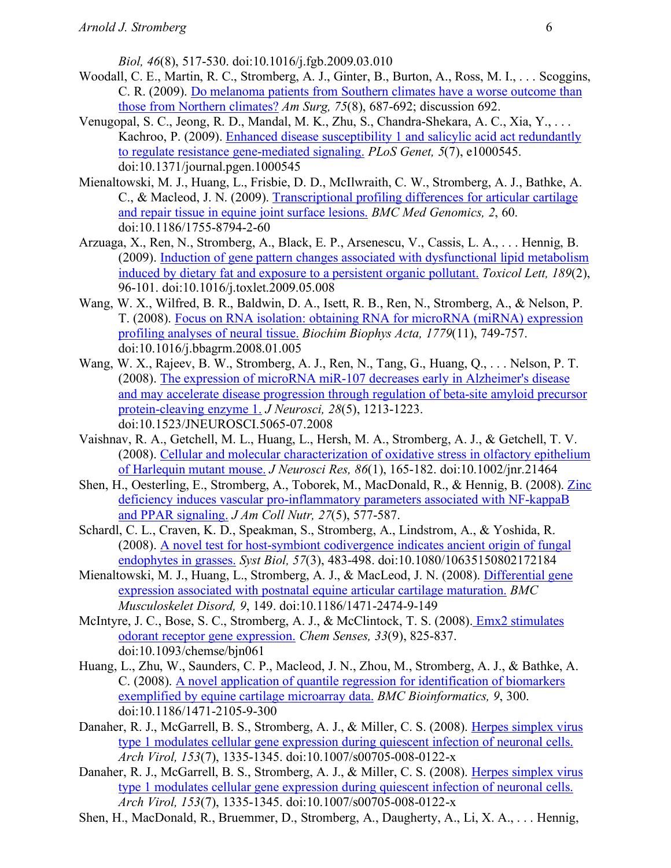*Biol, 46*(8), 517-530. doi:10.1016/j.fgb.2009.03.010

- Woodall, C. E., Martin, R. C., Stromberg, A. J., Ginter, B., Burton, A., Ross, M. I., . . . Scoggins, C. R. (2009). Do melanoma patients from Southern climates have a worse outcome than those from Northern climates? *Am Surg, 75*(8), 687-692; discussion 692.
- Venugopal, S. C., Jeong, R. D., Mandal, M. K., Zhu, S., Chandra-Shekara, A. C., Xia, Y., . . . Kachroo, P. (2009). Enhanced disease susceptibility 1 and salicylic acid act redundantly to regulate resistance gene-mediated signaling. *PLoS Genet, 5*(7), e1000545. doi:10.1371/journal.pgen.1000545
- Mienaltowski, M. J., Huang, L., Frisbie, D. D., McIlwraith, C. W., Stromberg, A. J., Bathke, A. C., & Macleod, J. N. (2009). Transcriptional profiling differences for articular cartilage and repair tissue in equine joint surface lesions. *BMC Med Genomics, 2*, 60. doi:10.1186/1755-8794-2-60
- Arzuaga, X., Ren, N., Stromberg, A., Black, E. P., Arsenescu, V., Cassis, L. A., . . . Hennig, B. (2009). Induction of gene pattern changes associated with dysfunctional lipid metabolism induced by dietary fat and exposure to a persistent organic pollutant. *Toxicol Lett, 189*(2), 96-101. doi:10.1016/j.toxlet.2009.05.008
- Wang, W. X., Wilfred, B. R., Baldwin, D. A., Isett, R. B., Ren, N., Stromberg, A., & Nelson, P. T. (2008). Focus on RNA isolation: obtaining RNA for microRNA (miRNA) expression profiling analyses of neural tissue. *Biochim Biophys Acta, 1779*(11), 749-757. doi:10.1016/j.bbagrm.2008.01.005
- Wang, W. X., Rajeev, B. W., Stromberg, A. J., Ren, N., Tang, G., Huang, Q., . . . Nelson, P. T. (2008). The expression of microRNA miR-107 decreases early in Alzheimer's disease and may accelerate disease progression through regulation of beta-site amyloid precursor protein-cleaving enzyme 1. *J Neurosci, 28*(5), 1213-1223. doi:10.1523/JNEUROSCI.5065-07.2008
- Vaishnav, R. A., Getchell, M. L., Huang, L., Hersh, M. A., Stromberg, A. J., & Getchell, T. V. (2008). Cellular and molecular characterization of oxidative stress in olfactory epithelium of Harlequin mutant mouse. *J Neurosci Res, 86*(1), 165-182. doi:10.1002/jnr.21464
- Shen, H., Oesterling, E., Stromberg, A., Toborek, M., MacDonald, R., & Hennig, B. (2008). Zinc deficiency induces vascular pro-inflammatory parameters associated with NF-kappaB and PPAR signaling. *J Am Coll Nutr, 27*(5), 577-587.
- Schardl, C. L., Craven, K. D., Speakman, S., Stromberg, A., Lindstrom, A., & Yoshida, R. (2008). A novel test for host-symbiont codivergence indicates ancient origin of fungal endophytes in grasses. *Syst Biol, 57*(3), 483-498. doi:10.1080/10635150802172184
- Mienaltowski, M. J., Huang, L., Stromberg, A. J., & MacLeod, J. N. (2008). Differential gene expression associated with postnatal equine articular cartilage maturation. *BMC Musculoskelet Disord, 9*, 149. doi:10.1186/1471-2474-9-149
- McIntyre, J. C., Bose, S. C., Stromberg, A. J., & McClintock, T. S. (2008). **Emx2** stimulates odorant receptor gene expression. *Chem Senses, 33*(9), 825-837. doi:10.1093/chemse/bjn061
- Huang, L., Zhu, W., Saunders, C. P., Macleod, J. N., Zhou, M., Stromberg, A. J., & Bathke, A. C. (2008). A novel application of quantile regression for identification of biomarkers exemplified by equine cartilage microarray data. *BMC Bioinformatics, 9*, 300. doi:10.1186/1471-2105-9-300
- Danaher, R. J., McGarrell, B. S., Stromberg, A. J., & Miller, C. S. (2008). Herpes simplex virus type 1 modulates cellular gene expression during quiescent infection of neuronal cells. *Arch Virol, 153*(7), 1335-1345. doi:10.1007/s00705-008-0122-x
- Danaher, R. J., McGarrell, B. S., Stromberg, A. J., & Miller, C. S. (2008). Herpes simplex virus type 1 modulates cellular gene expression during quiescent infection of neuronal cells. *Arch Virol, 153*(7), 1335-1345. doi:10.1007/s00705-008-0122-x
- Shen, H., MacDonald, R., Bruemmer, D., Stromberg, A., Daugherty, A., Li, X. A., . . . Hennig,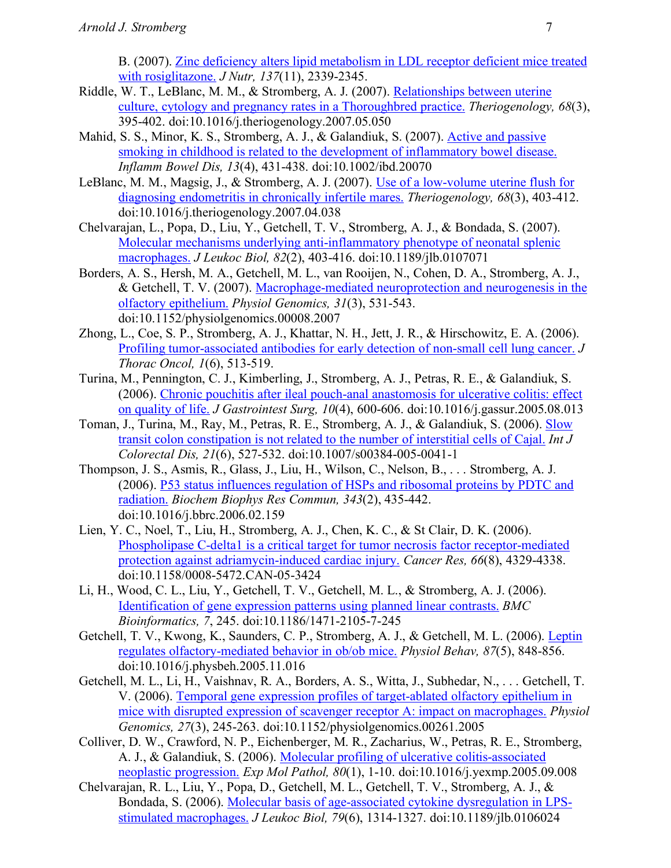B. (2007). Zinc deficiency alters lipid metabolism in LDL receptor deficient mice treated with rosiglitazone. *J Nutr, 137*(11), 2339-2345.

- Riddle, W. T., LeBlanc, M. M., & Stromberg, A. J. (2007). Relationships between uterine culture, cytology and pregnancy rates in a Thoroughbred practice. *Theriogenology, 68*(3), 395-402. doi:10.1016/j.theriogenology.2007.05.050
- Mahid, S. S., Minor, K. S., Stromberg, A. J., & Galandiuk, S. (2007). Active and passive smoking in childhood is related to the development of inflammatory bowel disease. *Inflamm Bowel Dis, 13*(4), 431-438. doi:10.1002/ibd.20070
- LeBlanc, M. M., Magsig, J., & Stromberg, A. J. (2007). Use of a low-volume uterine flush for diagnosing endometritis in chronically infertile mares. *Theriogenology, 68*(3), 403-412. doi:10.1016/j.theriogenology.2007.04.038
- Chelvarajan, L., Popa, D., Liu, Y., Getchell, T. V., Stromberg, A. J., & Bondada, S. (2007). Molecular mechanisms underlying anti-inflammatory phenotype of neonatal splenic macrophages. *J Leukoc Biol, 82*(2), 403-416. doi:10.1189/jlb.0107071
- Borders, A. S., Hersh, M. A., Getchell, M. L., van Rooijen, N., Cohen, D. A., Stromberg, A. J., & Getchell, T. V. (2007). Macrophage-mediated neuroprotection and neurogenesis in the olfactory epithelium. *Physiol Genomics, 31*(3), 531-543. doi:10.1152/physiolgenomics.00008.2007
- Zhong, L., Coe, S. P., Stromberg, A. J., Khattar, N. H., Jett, J. R., & Hirschowitz, E. A. (2006). Profiling tumor-associated antibodies for early detection of non-small cell lung cancer. *J Thorac Oncol, 1*(6), 513-519.
- Turina, M., Pennington, C. J., Kimberling, J., Stromberg, A. J., Petras, R. E., & Galandiuk, S. (2006). Chronic pouchitis after ileal pouch-anal anastomosis for ulcerative colitis: effect on quality of life. *J Gastrointest Surg, 10*(4), 600-606. doi:10.1016/j.gassur.2005.08.013
- Toman, J., Turina, M., Ray, M., Petras, R. E., Stromberg, A. J., & Galandiuk, S. (2006). Slow transit colon constipation is not related to the number of interstitial cells of Cajal. *Int J Colorectal Dis, 21*(6), 527-532. doi:10.1007/s00384-005-0041-1
- Thompson, J. S., Asmis, R., Glass, J., Liu, H., Wilson, C., Nelson, B., . . . Stromberg, A. J. (2006). P53 status influences regulation of HSPs and ribosomal proteins by PDTC and radiation. *Biochem Biophys Res Commun, 343*(2), 435-442. doi:10.1016/j.bbrc.2006.02.159
- Lien, Y. C., Noel, T., Liu, H., Stromberg, A. J., Chen, K. C., & St Clair, D. K. (2006). Phospholipase C-delta1 is a critical target for tumor necrosis factor receptor-mediated protection against adriamycin-induced cardiac injury. *Cancer Res, 66*(8), 4329-4338. doi:10.1158/0008-5472.CAN-05-3424
- Li, H., Wood, C. L., Liu, Y., Getchell, T. V., Getchell, M. L., & Stromberg, A. J. (2006). Identification of gene expression patterns using planned linear contrasts. *BMC Bioinformatics, 7*, 245. doi:10.1186/1471-2105-7-245
- Getchell, T. V., Kwong, K., Saunders, C. P., Stromberg, A. J., & Getchell, M. L. (2006). Leptin regulates olfactory-mediated behavior in ob/ob mice. *Physiol Behav, 87*(5), 848-856. doi:10.1016/j.physbeh.2005.11.016
- Getchell, M. L., Li, H., Vaishnav, R. A., Borders, A. S., Witta, J., Subhedar, N., . . . Getchell, T. V. (2006). Temporal gene expression profiles of target-ablated olfactory epithelium in mice with disrupted expression of scavenger receptor A: impact on macrophages. *Physiol Genomics, 27*(3), 245-263. doi:10.1152/physiolgenomics.00261.2005
- Colliver, D. W., Crawford, N. P., Eichenberger, M. R., Zacharius, W., Petras, R. E., Stromberg, A. J., & Galandiuk, S. (2006). Molecular profiling of ulcerative colitis-associated neoplastic progression. *Exp Mol Pathol, 80*(1), 1-10. doi:10.1016/j.yexmp.2005.09.008
- Chelvarajan, R. L., Liu, Y., Popa, D., Getchell, M. L., Getchell, T. V., Stromberg, A. J., & Bondada, S. (2006). Molecular basis of age-associated cytokine dysregulation in LPSstimulated macrophages. *J Leukoc Biol, 79*(6), 1314-1327. doi:10.1189/jlb.0106024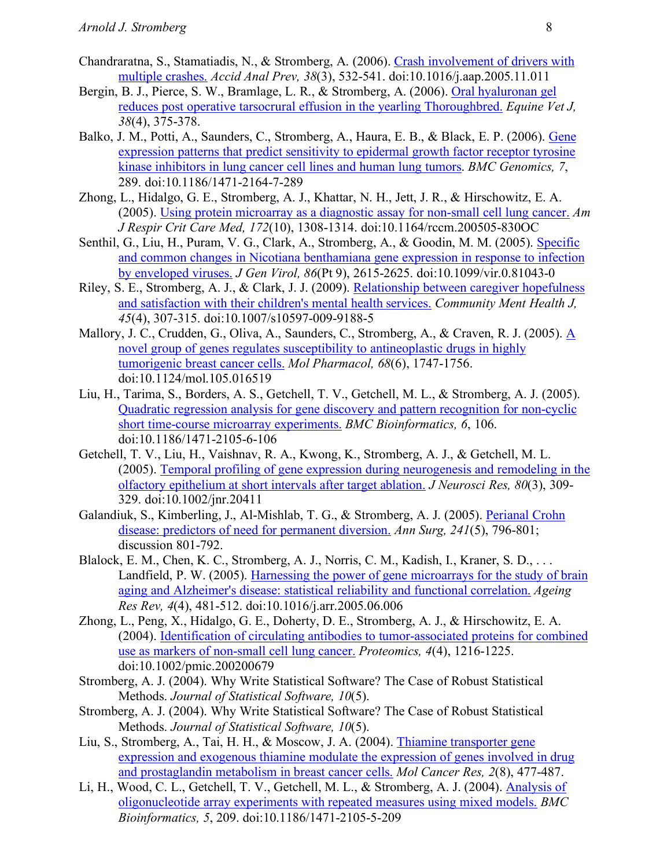- Chandraratna, S., Stamatiadis, N., & Stromberg, A. (2006). Crash involvement of drivers with multiple crashes. *Accid Anal Prev, 38*(3), 532-541. doi:10.1016/j.aap.2005.11.011
- Bergin, B. J., Pierce, S. W., Bramlage, L. R., & Stromberg, A. (2006). Oral hyaluronan gel reduces post operative tarsocrural effusion in the yearling Thoroughbred. *Equine Vet J, 38*(4), 375-378.
- Balko, J. M., Potti, A., Saunders, C., Stromberg, A., Haura, E. B., & Black, E. P. (2006). Gene expression patterns that predict sensitivity to epidermal growth factor receptor tyrosine kinase inhibitors in lung cancer cell lines and human lung tumors. *BMC Genomics, 7*, 289. doi:10.1186/1471-2164-7-289
- Zhong, L., Hidalgo, G. E., Stromberg, A. J., Khattar, N. H., Jett, J. R., & Hirschowitz, E. A. (2005). Using protein microarray as a diagnostic assay for non-small cell lung cancer. *Am J Respir Crit Care Med, 172*(10), 1308-1314. doi:10.1164/rccm.200505-830OC
- Senthil, G., Liu, H., Puram, V. G., Clark, A., Stromberg, A., & Goodin, M. M. (2005). Specific and common changes in Nicotiana benthamiana gene expression in response to infection by enveloped viruses. *J Gen Virol, 86*(Pt 9), 2615-2625. doi:10.1099/vir.0.81043-0
- Riley, S. E., Stromberg, A. J., & Clark, J. J. (2009). Relationship between caregiver hopefulness and satisfaction with their children's mental health services. *Community Ment Health J, 45*(4), 307-315. doi:10.1007/s10597-009-9188-5
- Mallory, J. C., Crudden, G., Oliva, A., Saunders, C., Stromberg, A., & Craven, R. J. (2005). A novel group of genes regulates susceptibility to antineoplastic drugs in highly tumorigenic breast cancer cells. *Mol Pharmacol, 68*(6), 1747-1756. doi:10.1124/mol.105.016519
- Liu, H., Tarima, S., Borders, A. S., Getchell, T. V., Getchell, M. L., & Stromberg, A. J. (2005). Quadratic regression analysis for gene discovery and pattern recognition for non-cyclic short time-course microarray experiments. *BMC Bioinformatics, 6*, 106. doi:10.1186/1471-2105-6-106
- Getchell, T. V., Liu, H., Vaishnav, R. A., Kwong, K., Stromberg, A. J., & Getchell, M. L. (2005). Temporal profiling of gene expression during neurogenesis and remodeling in the olfactory epithelium at short intervals after target ablation. *J Neurosci Res, 80*(3), 309- 329. doi:10.1002/jnr.20411
- Galandiuk, S., Kimberling, J., Al-Mishlab, T. G., & Stromberg, A. J. (2005). Perianal Crohn disease: predictors of need for permanent diversion. *Ann Surg, 241*(5), 796-801; discussion 801-792.
- Blalock, E. M., Chen, K. C., Stromberg, A. J., Norris, C. M., Kadish, I., Kraner, S. D., ... Landfield, P. W. (2005). Harnessing the power of gene microarrays for the study of brain aging and Alzheimer's disease: statistical reliability and functional correlation. *Ageing Res Rev, 4*(4), 481-512. doi:10.1016/j.arr.2005.06.006
- Zhong, L., Peng, X., Hidalgo, G. E., Doherty, D. E., Stromberg, A. J., & Hirschowitz, E. A. (2004). Identification of circulating antibodies to tumor-associated proteins for combined use as markers of non-small cell lung cancer. *Proteomics, 4*(4), 1216-1225. doi:10.1002/pmic.200200679
- Stromberg, A. J. (2004). Why Write Statistical Software? The Case of Robust Statistical Methods. *Journal of Statistical Software, 10*(5).
- Stromberg, A. J. (2004). Why Write Statistical Software? The Case of Robust Statistical Methods. *Journal of Statistical Software, 10*(5).
- Liu, S., Stromberg, A., Tai, H. H., & Moscow, J. A. (2004). Thiamine transporter gene expression and exogenous thiamine modulate the expression of genes involved in drug and prostaglandin metabolism in breast cancer cells. *Mol Cancer Res, 2*(8), 477-487.
- Li, H., Wood, C. L., Getchell, T. V., Getchell, M. L., & Stromberg, A. J. (2004). Analysis of oligonucleotide array experiments with repeated measures using mixed models. *BMC Bioinformatics, 5*, 209. doi:10.1186/1471-2105-5-209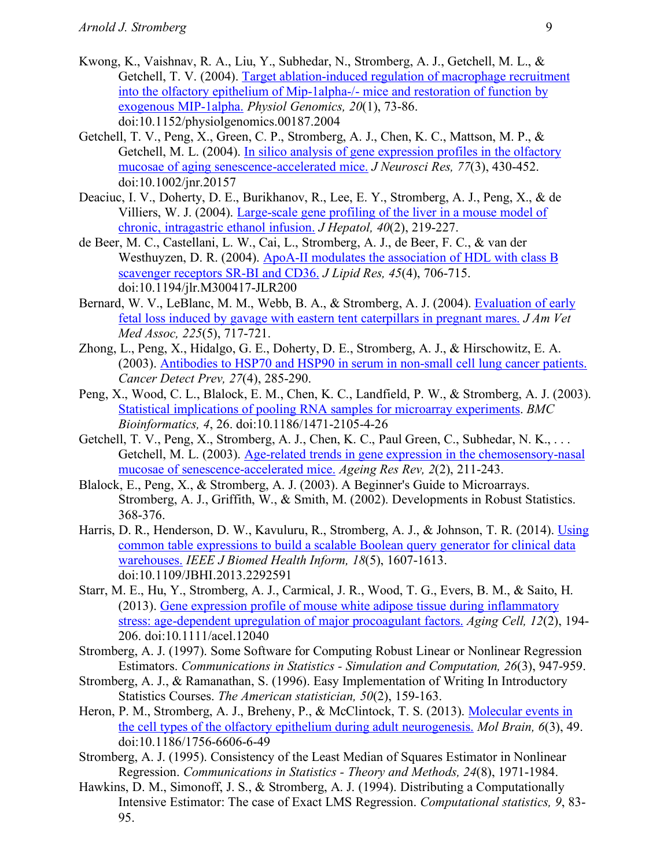- Kwong, K., Vaishnav, R. A., Liu, Y., Subhedar, N., Stromberg, A. J., Getchell, M. L., & Getchell, T. V. (2004). Target ablation-induced regulation of macrophage recruitment into the olfactory epithelium of Mip-1alpha-/- mice and restoration of function by exogenous MIP-1alpha. *Physiol Genomics, 20*(1), 73-86. doi:10.1152/physiolgenomics.00187.2004
- Getchell, T. V., Peng, X., Green, C. P., Stromberg, A. J., Chen, K. C., Mattson, M. P., & Getchell, M. L. (2004). In silico analysis of gene expression profiles in the olfactory mucosae of aging senescence-accelerated mice. *J Neurosci Res, 77*(3), 430-452. doi:10.1002/jnr.20157
- Deaciuc, I. V., Doherty, D. E., Burikhanov, R., Lee, E. Y., Stromberg, A. J., Peng, X., & de Villiers, W. J. (2004). Large-scale gene profiling of the liver in a mouse model of chronic, intragastric ethanol infusion. *J Hepatol, 40*(2), 219-227.
- de Beer, M. C., Castellani, L. W., Cai, L., Stromberg, A. J., de Beer, F. C., & van der Westhuyzen, D. R. (2004). ApoA-II modulates the association of HDL with class B scavenger receptors SR-BI and CD36. *J Lipid Res, 45*(4), 706-715. doi:10.1194/jlr.M300417-JLR200
- Bernard, W. V., LeBlanc, M. M., Webb, B. A., & Stromberg, A. J. (2004). Evaluation of early fetal loss induced by gavage with eastern tent caterpillars in pregnant mares. *J Am Vet Med Assoc, 225*(5), 717-721.
- Zhong, L., Peng, X., Hidalgo, G. E., Doherty, D. E., Stromberg, A. J., & Hirschowitz, E. A. (2003). Antibodies to HSP70 and HSP90 in serum in non-small cell lung cancer patients. *Cancer Detect Prev, 27*(4), 285-290.
- Peng, X., Wood, C. L., Blalock, E. M., Chen, K. C., Landfield, P. W., & Stromberg, A. J. (2003). Statistical implications of pooling RNA samples for microarray experiments. *BMC Bioinformatics, 4*, 26. doi:10.1186/1471-2105-4-26
- Getchell, T. V., Peng, X., Stromberg, A. J., Chen, K. C., Paul Green, C., Subhedar, N. K., . . . Getchell, M. L. (2003). Age-related trends in gene expression in the chemosensory-nasal mucosae of senescence-accelerated mice. *Ageing Res Rev, 2*(2), 211-243.
- Blalock, E., Peng, X., & Stromberg, A. J. (2003). A Beginner's Guide to Microarrays. Stromberg, A. J., Griffith, W., & Smith, M. (2002). Developments in Robust Statistics. 368-376.
- Harris, D. R., Henderson, D. W., Kavuluru, R., Stromberg, A. J., & Johnson, T. R. (2014). Using common table expressions to build a scalable Boolean query generator for clinical data warehouses. *IEEE J Biomed Health Inform, 18*(5), 1607-1613. doi:10.1109/JBHI.2013.2292591
- Starr, M. E., Hu, Y., Stromberg, A. J., Carmical, J. R., Wood, T. G., Evers, B. M., & Saito, H. (2013). Gene expression profile of mouse white adipose tissue during inflammatory stress: age-dependent upregulation of major procoagulant factors. *Aging Cell, 12*(2), 194- 206. doi:10.1111/acel.12040
- Stromberg, A. J. (1997). Some Software for Computing Robust Linear or Nonlinear Regression Estimators. *Communications in Statistics - Simulation and Computation, 26*(3), 947-959.
- Stromberg, A. J., & Ramanathan, S. (1996). Easy Implementation of Writing In Introductory Statistics Courses. *The American statistician, 50*(2), 159-163.
- Heron, P. M., Stromberg, A. J., Breheny, P., & McClintock, T. S. (2013). Molecular events in the cell types of the olfactory epithelium during adult neurogenesis. *Mol Brain, 6*(3), 49. doi:10.1186/1756-6606-6-49
- Stromberg, A. J. (1995). Consistency of the Least Median of Squares Estimator in Nonlinear Regression. *Communications in Statistics - Theory and Methods, 24*(8), 1971-1984.
- Hawkins, D. M., Simonoff, J. S., & Stromberg, A. J. (1994). Distributing a Computationally Intensive Estimator: The case of Exact LMS Regression. *Computational statistics, 9*, 83- 95.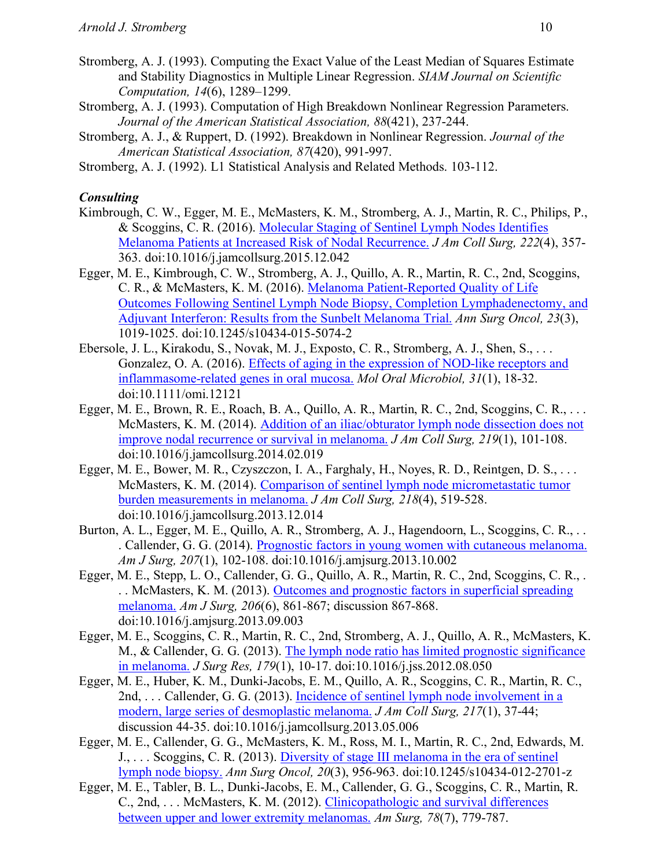- Stromberg, A. J. (1993). Computing the Exact Value of the Least Median of Squares Estimate and Stability Diagnostics in Multiple Linear Regression. *SIAM Journal on Scientific Computation, 14*(6), 1289–1299.
- Stromberg, A. J. (1993). Computation of High Breakdown Nonlinear Regression Parameters. *Journal of the American Statistical Association, 88*(421), 237-244.
- Stromberg, A. J., & Ruppert, D. (1992). Breakdown in Nonlinear Regression. *Journal of the American Statistical Association, 87*(420), 991-997.
- Stromberg, A. J. (1992). L1 Statistical Analysis and Related Methods. 103-112.

## *Consulting*

- Kimbrough, C. W., Egger, M. E., McMasters, K. M., Stromberg, A. J., Martin, R. C., Philips, P., & Scoggins, C. R. (2016). Molecular Staging of Sentinel Lymph Nodes Identifies Melanoma Patients at Increased Risk of Nodal Recurrence. *J Am Coll Surg, 222*(4), 357- 363. doi:10.1016/j.jamcollsurg.2015.12.042
- Egger, M. E., Kimbrough, C. W., Stromberg, A. J., Quillo, A. R., Martin, R. C., 2nd, Scoggins, C. R., & McMasters, K. M. (2016). Melanoma Patient-Reported Quality of Life Outcomes Following Sentinel Lymph Node Biopsy, Completion Lymphadenectomy, and Adjuvant Interferon: Results from the Sunbelt Melanoma Trial. *Ann Surg Oncol, 23*(3), 1019-1025. doi:10.1245/s10434-015-5074-2
- Ebersole, J. L., Kirakodu, S., Novak, M. J., Exposto, C. R., Stromberg, A. J., Shen, S., . . . Gonzalez, O. A. (2016). Effects of aging in the expression of NOD-like receptors and inflammasome-related genes in oral mucosa. *Mol Oral Microbiol, 31*(1), 18-32. doi:10.1111/omi.12121
- Egger, M. E., Brown, R. E., Roach, B. A., Quillo, A. R., Martin, R. C., 2nd, Scoggins, C. R., ... McMasters, K. M. (2014). Addition of an iliac/obturator lymph node dissection does not improve nodal recurrence or survival in melanoma. *J Am Coll Surg, 219*(1), 101-108. doi:10.1016/j.jamcollsurg.2014.02.019
- Egger, M. E., Bower, M. R., Czyszczon, I. A., Farghaly, H., Noyes, R. D., Reintgen, D. S., . . . McMasters, K. M. (2014). Comparison of sentinel lymph node micrometastatic tumor burden measurements in melanoma. *J Am Coll Surg, 218*(4), 519-528. doi:10.1016/j.jamcollsurg.2013.12.014
- Burton, A. L., Egger, M. E., Quillo, A. R., Stromberg, A. J., Hagendoorn, L., Scoggins, C. R., . . . Callender, G. G. (2014). Prognostic factors in young women with cutaneous melanoma. *Am J Surg, 207*(1), 102-108. doi:10.1016/j.amjsurg.2013.10.002
- Egger, M. E., Stepp, L. O., Callender, G. G., Quillo, A. R., Martin, R. C., 2nd, Scoggins, C. R., . .. McMasters, K. M. (2013). Outcomes and prognostic factors in superficial spreading melanoma. *Am J Surg, 206*(6), 861-867; discussion 867-868. doi:10.1016/j.amjsurg.2013.09.003
- Egger, M. E., Scoggins, C. R., Martin, R. C., 2nd, Stromberg, A. J., Quillo, A. R., McMasters, K. M., & Callender, G. G. (2013). The lymph node ratio has limited prognostic significance in melanoma. *J Surg Res, 179*(1), 10-17. doi:10.1016/j.jss.2012.08.050
- Egger, M. E., Huber, K. M., Dunki-Jacobs, E. M., Quillo, A. R., Scoggins, C. R., Martin, R. C., 2nd, . . . Callender, G. G. (2013). Incidence of sentinel lymph node involvement in a modern, large series of desmoplastic melanoma. *J Am Coll Surg, 217*(1), 37-44; discussion 44-35. doi:10.1016/j.jamcollsurg.2013.05.006
- Egger, M. E., Callender, G. G., McMasters, K. M., Ross, M. I., Martin, R. C., 2nd, Edwards, M. J., . . . Scoggins, C. R. (2013). Diversity of stage III melanoma in the era of sentinel lymph node biopsy. *Ann Surg Oncol, 20*(3), 956-963. doi:10.1245/s10434-012-2701-z
- Egger, M. E., Tabler, B. L., Dunki-Jacobs, E. M., Callender, G. G., Scoggins, C. R., Martin, R. C., 2nd, . . . McMasters, K. M. (2012). Clinicopathologic and survival differences between upper and lower extremity melanomas. *Am Surg, 78*(7), 779-787.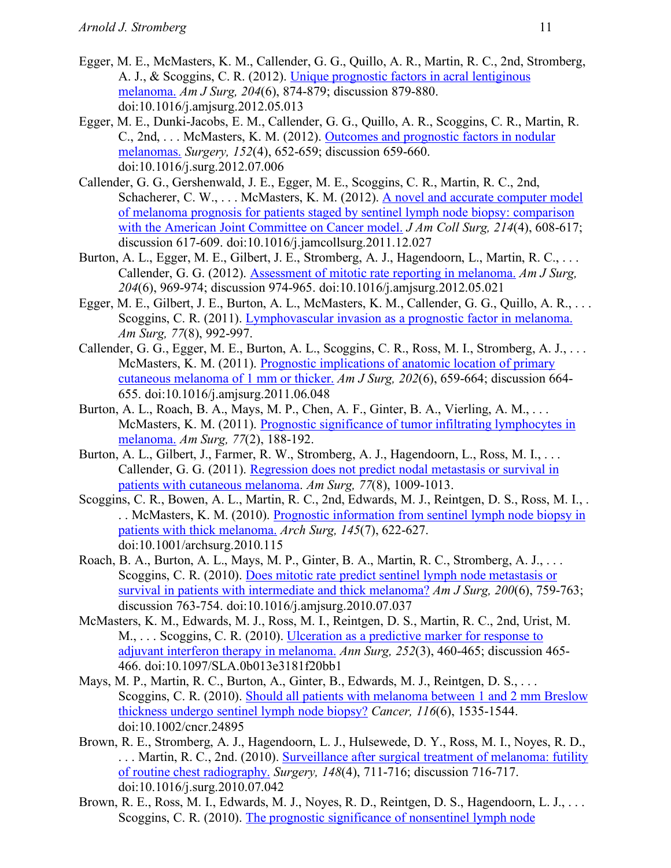- Egger, M. E., McMasters, K. M., Callender, G. G., Quillo, A. R., Martin, R. C., 2nd, Stromberg, A. J., & Scoggins, C. R. (2012). Unique prognostic factors in acral lentiginous melanoma. *Am J Surg, 204*(6), 874-879; discussion 879-880. doi:10.1016/j.amjsurg.2012.05.013
- Egger, M. E., Dunki-Jacobs, E. M., Callender, G. G., Quillo, A. R., Scoggins, C. R., Martin, R. C., 2nd, . . . McMasters, K. M. (2012). Outcomes and prognostic factors in nodular melanomas. *Surgery, 152*(4), 652-659; discussion 659-660. doi:10.1016/j.surg.2012.07.006
- Callender, G. G., Gershenwald, J. E., Egger, M. E., Scoggins, C. R., Martin, R. C., 2nd, Schacherer, C. W., ... McMasters, K. M. (2012). A novel and accurate computer model of melanoma prognosis for patients staged by sentinel lymph node biopsy: comparison with the American Joint Committee on Cancer model. *J Am Coll Surg, 214*(4), 608-617; discussion 617-609. doi:10.1016/j.jamcollsurg.2011.12.027
- Burton, A. L., Egger, M. E., Gilbert, J. E., Stromberg, A. J., Hagendoorn, L., Martin, R. C., ... Callender, G. G. (2012). Assessment of mitotic rate reporting in melanoma. *Am J Surg, 204*(6), 969-974; discussion 974-965. doi:10.1016/j.amjsurg.2012.05.021
- Egger, M. E., Gilbert, J. E., Burton, A. L., McMasters, K. M., Callender, G. G., Quillo, A. R., . . . Scoggins, C. R. (2011). Lymphovascular invasion as a prognostic factor in melanoma. *Am Surg, 77*(8), 992-997.
- Callender, G. G., Egger, M. E., Burton, A. L., Scoggins, C. R., Ross, M. I., Stromberg, A. J., . . . McMasters, K. M. (2011). Prognostic implications of anatomic location of primary cutaneous melanoma of 1 mm or thicker. *Am J Surg, 202*(6), 659-664; discussion 664- 655. doi:10.1016/j.amjsurg.2011.06.048
- Burton, A. L., Roach, B. A., Mays, M. P., Chen, A. F., Ginter, B. A., Vierling, A. M., . . . McMasters, K. M. (2011). Prognostic significance of tumor infiltrating lymphocytes in melanoma. *Am Surg, 77*(2), 188-192.
- Burton, A. L., Gilbert, J., Farmer, R. W., Stromberg, A. J., Hagendoorn, L., Ross, M. I., ... Callender, G. G. (2011). Regression does not predict nodal metastasis or survival in patients with cutaneous melanoma. *Am Surg, 77*(8), 1009-1013.
- Scoggins, C. R., Bowen, A. L., Martin, R. C., 2nd, Edwards, M. J., Reintgen, D. S., Ross, M. I., . . . McMasters, K. M. (2010). Prognostic information from sentinel lymph node biopsy in patients with thick melanoma. *Arch Surg, 145*(7), 622-627. doi:10.1001/archsurg.2010.115
- Roach, B. A., Burton, A. L., Mays, M. P., Ginter, B. A., Martin, R. C., Stromberg, A. J., . . . Scoggins, C. R. (2010). Does mitotic rate predict sentinel lymph node metastasis or survival in patients with intermediate and thick melanoma? *Am J Surg, 200*(6), 759-763; discussion 763-754. doi:10.1016/j.amjsurg.2010.07.037
- McMasters, K. M., Edwards, M. J., Ross, M. I., Reintgen, D. S., Martin, R. C., 2nd, Urist, M. M., ... Scoggins, C. R. (2010). Ulceration as a predictive marker for response to adjuvant interferon therapy in melanoma. *Ann Surg, 252*(3), 460-465; discussion 465- 466. doi:10.1097/SLA.0b013e3181f20bb1
- Mays, M. P., Martin, R. C., Burton, A., Ginter, B., Edwards, M. J., Reintgen, D. S., ... Scoggins, C. R. (2010). Should all patients with melanoma between 1 and 2 mm Breslow thickness undergo sentinel lymph node biopsy? *Cancer, 116*(6), 1535-1544. doi:10.1002/cncr.24895
- Brown, R. E., Stromberg, A. J., Hagendoorn, L. J., Hulsewede, D. Y., Ross, M. I., Noyes, R. D., ... Martin, R. C., 2nd. (2010). Surveillance after surgical treatment of melanoma: futility of routine chest radiography. *Surgery, 148*(4), 711-716; discussion 716-717. doi:10.1016/j.surg.2010.07.042
- Brown, R. E., Ross, M. I., Edwards, M. J., Noyes, R. D., Reintgen, D. S., Hagendoorn, L. J., . . . Scoggins, C. R. (2010). The prognostic significance of nonsentinel lymph node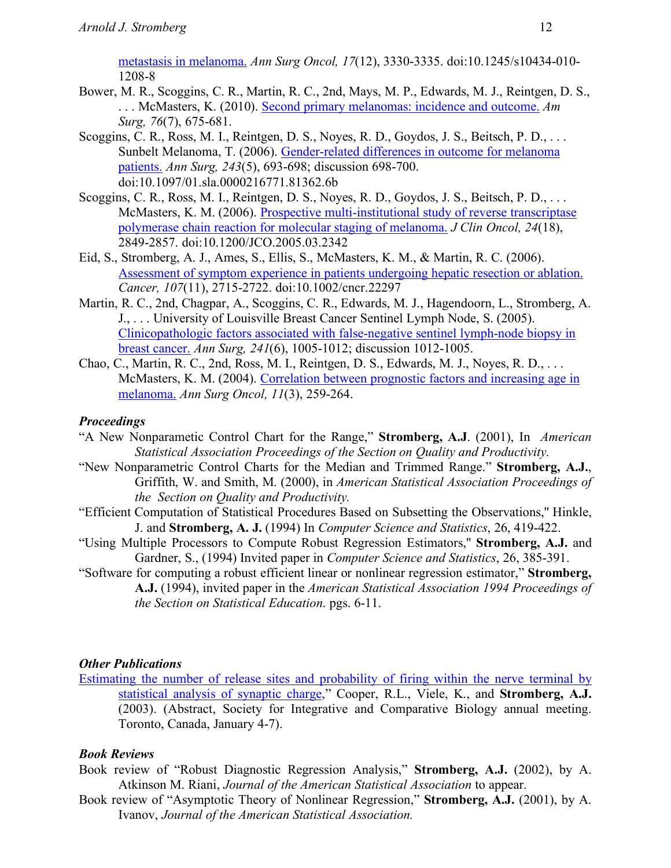metastasis in melanoma. *Ann Surg Oncol, 17*(12), 3330-3335. doi:10.1245/s10434-010- 1208-8

- Bower, M. R., Scoggins, C. R., Martin, R. C., 2nd, Mays, M. P., Edwards, M. J., Reintgen, D. S., . . . McMasters, K. (2010). Second primary melanomas: incidence and outcome. *Am Surg, 76*(7), 675-681.
- Scoggins, C. R., Ross, M. I., Reintgen, D. S., Noyes, R. D., Goydos, J. S., Beitsch, P. D., . . . Sunbelt Melanoma, T. (2006). Gender-related differences in outcome for melanoma patients. *Ann Surg, 243*(5), 693-698; discussion 698-700. doi:10.1097/01.sla.0000216771.81362.6b
- Scoggins, C. R., Ross, M. I., Reintgen, D. S., Noyes, R. D., Goydos, J. S., Beitsch, P. D., . . . McMasters, K. M. (2006). Prospective multi-institutional study of reverse transcriptase polymerase chain reaction for molecular staging of melanoma. *J Clin Oncol, 24*(18), 2849-2857. doi:10.1200/JCO.2005.03.2342
- Eid, S., Stromberg, A. J., Ames, S., Ellis, S., McMasters, K. M., & Martin, R. C. (2006). Assessment of symptom experience in patients undergoing hepatic resection or ablation. *Cancer, 107*(11), 2715-2722. doi:10.1002/cncr.22297
- Martin, R. C., 2nd, Chagpar, A., Scoggins, C. R., Edwards, M. J., Hagendoorn, L., Stromberg, A. J., . . . University of Louisville Breast Cancer Sentinel Lymph Node, S. (2005). Clinicopathologic factors associated with false-negative sentinel lymph-node biopsy in breast cancer. *Ann Surg, 241*(6), 1005-1012; discussion 1012-1005.
- Chao, C., Martin, R. C., 2nd, Ross, M. I., Reintgen, D. S., Edwards, M. J., Noyes, R. D., . . . McMasters, K. M. (2004). Correlation between prognostic factors and increasing age in melanoma. *Ann Surg Oncol, 11*(3), 259-264.

## *Proceedings*

- "A New Nonparametic Control Chart for the Range," **Stromberg, A.J**. (2001), In *American Statistical Association Proceedings of the Section on Quality and Productivity.*
- "New Nonparametric Control Charts for the Median and Trimmed Range." **Stromberg, A.J.**, Griffith, W. and Smith, M. (2000), in *American Statistical Association Proceedings of the Section on Quality and Productivity.*
- "Efficient Computation of Statistical Procedures Based on Subsetting the Observations,'' Hinkle, J. and **Stromberg, A. J.** (1994) In *Computer Science and Statistics*, 26, 419-422.
- "Using Multiple Processors to Compute Robust Regression Estimators,'' **Stromberg, A.J.** and Gardner, S., (1994) Invited paper in *Computer Science and Statistics*, 26, 385-391.
- "Software for computing a robust efficient linear or nonlinear regression estimator," **Stromberg, A.J.** (1994), invited paper in the *American Statistical Association 1994 Proceedings of the Section on Statistical Education*. pgs. 6-11.

## *Other Publications*

Estimating the number of release sites and probability of firing within the nerve terminal by statistical analysis of synaptic charge," Cooper, R.L., Viele, K., and **Stromberg, A.J.** (2003). (Abstract, Society for Integrative and Comparative Biology annual meeting. Toronto, Canada, January 4-7).

# *Book Reviews*

- Book review of "Robust Diagnostic Regression Analysis," **Stromberg, A.J.** (2002), by A. Atkinson M. Riani, *Journal of the American Statistical Association* to appear.
- Book review of "Asymptotic Theory of Nonlinear Regression," **Stromberg, A.J.** (2001), by A. Ivanov, *Journal of the American Statistical Association.*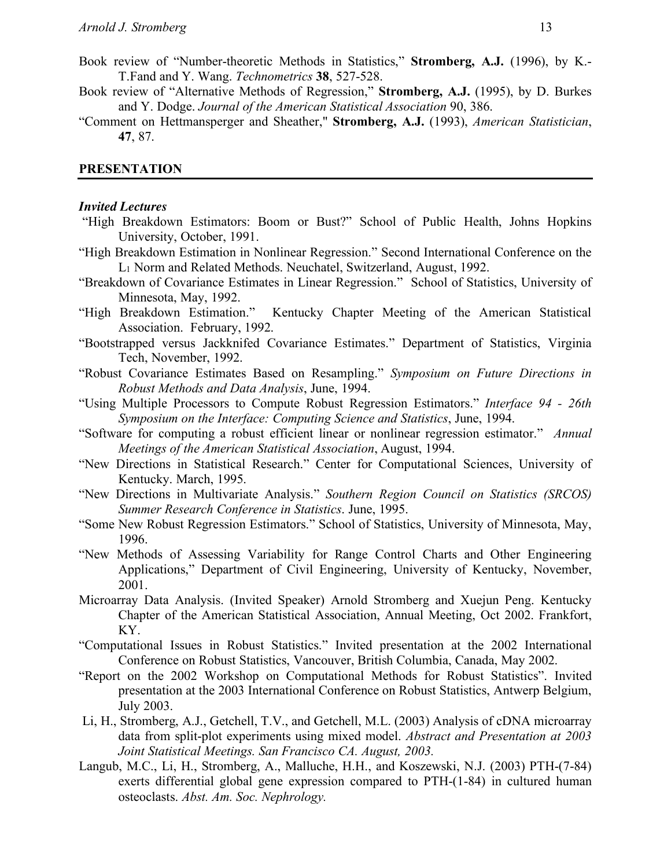- Book review of "Number-theoretic Methods in Statistics," **Stromberg, A.J.** (1996), by K.- T.Fand and Y. Wang. *Technometrics* **38**, 527-528.
- Book review of "Alternative Methods of Regression," **Stromberg, A.J.** (1995), by D. Burkes and Y. Dodge. *Journal of the American Statistical Association* 90, 386.
- "Comment on Hettmansperger and Sheather," **Stromberg, A.J.** (1993), *American Statistician*, **47**, 87.

#### **PRESENTATION**

#### *Invited Lectures*

- "High Breakdown Estimators: Boom or Bust?" School of Public Health, Johns Hopkins University, October, 1991.
- "High Breakdown Estimation in Nonlinear Regression." Second International Conference on the L1 Norm and Related Methods. Neuchatel, Switzerland, August, 1992.
- "Breakdown of Covariance Estimates in Linear Regression." School of Statistics, University of Minnesota, May, 1992.
- "High Breakdown Estimation." Kentucky Chapter Meeting of the American Statistical Association. February, 1992.
- "Bootstrapped versus Jackknifed Covariance Estimates." Department of Statistics, Virginia Tech, November, 1992.
- "Robust Covariance Estimates Based on Resampling." *Symposium on Future Directions in Robust Methods and Data Analysis*, June, 1994.
- "Using Multiple Processors to Compute Robust Regression Estimators." *Interface 94 - 26th Symposium on the Interface: Computing Science and Statistics*, June, 1994.
- "Software for computing a robust efficient linear or nonlinear regression estimator." *Annual Meetings of the American Statistical Association*, August, 1994.
- "New Directions in Statistical Research." Center for Computational Sciences, University of Kentucky. March, 1995.
- "New Directions in Multivariate Analysis." *Southern Region Council on Statistics (SRCOS) Summer Research Conference in Statistics*. June, 1995.
- "Some New Robust Regression Estimators." School of Statistics, University of Minnesota, May, 1996.
- "New Methods of Assessing Variability for Range Control Charts and Other Engineering Applications," Department of Civil Engineering, University of Kentucky, November, 2001.
- Microarray Data Analysis. (Invited Speaker) Arnold Stromberg and Xuejun Peng. Kentucky Chapter of the American Statistical Association, Annual Meeting, Oct 2002. Frankfort, KY.
- "Computational Issues in Robust Statistics." Invited presentation at the 2002 International Conference on Robust Statistics, Vancouver, British Columbia, Canada, May 2002.
- "Report on the 2002 Workshop on Computational Methods for Robust Statistics". Invited presentation at the 2003 International Conference on Robust Statistics, Antwerp Belgium, July 2003.
- Li, H., Stromberg, A.J., Getchell, T.V., and Getchell, M.L. (2003) Analysis of cDNA microarray data from split-plot experiments using mixed model. *Abstract and Presentation at 2003 Joint Statistical Meetings. San Francisco CA. August, 2003.*
- Langub, M.C., Li, H., Stromberg, A., Malluche, H.H., and Koszewski, N.J. (2003) PTH-(7-84) exerts differential global gene expression compared to PTH-(1-84) in cultured human osteoclasts. *Abst. Am. Soc. Nephrology.*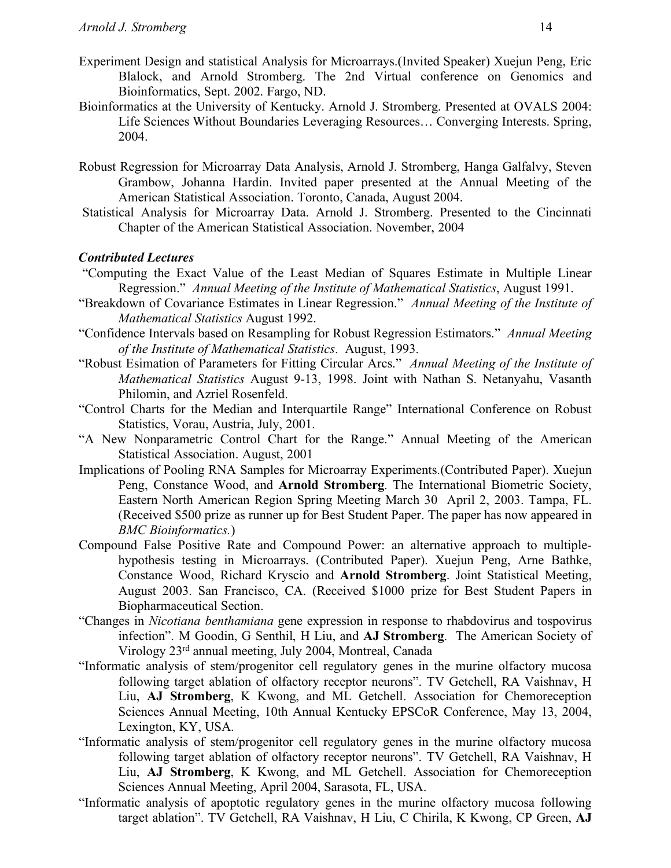- Experiment Design and statistical Analysis for Microarrays.(Invited Speaker) Xuejun Peng, Eric Blalock, and Arnold Stromberg. The 2nd Virtual conference on Genomics and Bioinformatics, Sept. 2002. Fargo, ND.
- Bioinformatics at the University of Kentucky. Arnold J. Stromberg. Presented at OVALS 2004: Life Sciences Without Boundaries Leveraging Resources… Converging Interests. Spring, 2004.
- Robust Regression for Microarray Data Analysis, Arnold J. Stromberg, Hanga Galfalvy, Steven Grambow, Johanna Hardin. Invited paper presented at the Annual Meeting of the American Statistical Association. Toronto, Canada, August 2004.
- Statistical Analysis for Microarray Data. Arnold J. Stromberg. Presented to the Cincinnati Chapter of the American Statistical Association. November, 2004

### *Contributed Lectures*

- "Computing the Exact Value of the Least Median of Squares Estimate in Multiple Linear Regression." *Annual Meeting of the Institute of Mathematical Statistics*, August 1991.
- "Breakdown of Covariance Estimates in Linear Regression." *Annual Meeting of the Institute of Mathematical Statistics* August 1992.
- "Confidence Intervals based on Resampling for Robust Regression Estimators." *Annual Meeting of the Institute of Mathematical Statistics*. August, 1993.
- "Robust Esimation of Parameters for Fitting Circular Arcs." *Annual Meeting of the Institute of Mathematical Statistics* August 9-13, 1998. Joint with Nathan S. Netanyahu, Vasanth Philomin, and Azriel Rosenfeld.
- "Control Charts for the Median and Interquartile Range" International Conference on Robust Statistics, Vorau, Austria, July, 2001.
- "A New Nonparametric Control Chart for the Range." Annual Meeting of the American Statistical Association. August, 2001
- Implications of Pooling RNA Samples for Microarray Experiments.(Contributed Paper). Xuejun Peng, Constance Wood, and **Arnold Stromberg**. The International Biometric Society, Eastern North American Region Spring Meeting March 30 April 2, 2003. Tampa, FL. (Received \$500 prize as runner up for Best Student Paper. The paper has now appeared in *BMC Bioinformatics.*)
- Compound False Positive Rate and Compound Power: an alternative approach to multiplehypothesis testing in Microarrays. (Contributed Paper). Xuejun Peng, Arne Bathke, Constance Wood, Richard Kryscio and **Arnold Stromberg**. Joint Statistical Meeting, August 2003. San Francisco, CA. (Received \$1000 prize for Best Student Papers in Biopharmaceutical Section.
- "Changes in *Nicotiana benthamiana* gene expression in response to rhabdovirus and tospovirus infection". M Goodin, G Senthil, H Liu, and **AJ Stromberg**. The American Society of Virology 23rd annual meeting, July 2004, Montreal, Canada
- "Informatic analysis of stem/progenitor cell regulatory genes in the murine olfactory mucosa following target ablation of olfactory receptor neurons". TV Getchell, RA Vaishnav, H Liu, **AJ Stromberg**, K Kwong, and ML Getchell. Association for Chemoreception Sciences Annual Meeting, 10th Annual Kentucky EPSCoR Conference, May 13, 2004, Lexington, KY, USA.
- "Informatic analysis of stem/progenitor cell regulatory genes in the murine olfactory mucosa following target ablation of olfactory receptor neurons". TV Getchell, RA Vaishnav, H Liu, **AJ Stromberg**, K Kwong, and ML Getchell. Association for Chemoreception Sciences Annual Meeting, April 2004, Sarasota, FL, USA.
- "Informatic analysis of apoptotic regulatory genes in the murine olfactory mucosa following target ablation". TV Getchell, RA Vaishnav, H Liu, C Chirila, K Kwong, CP Green, **AJ**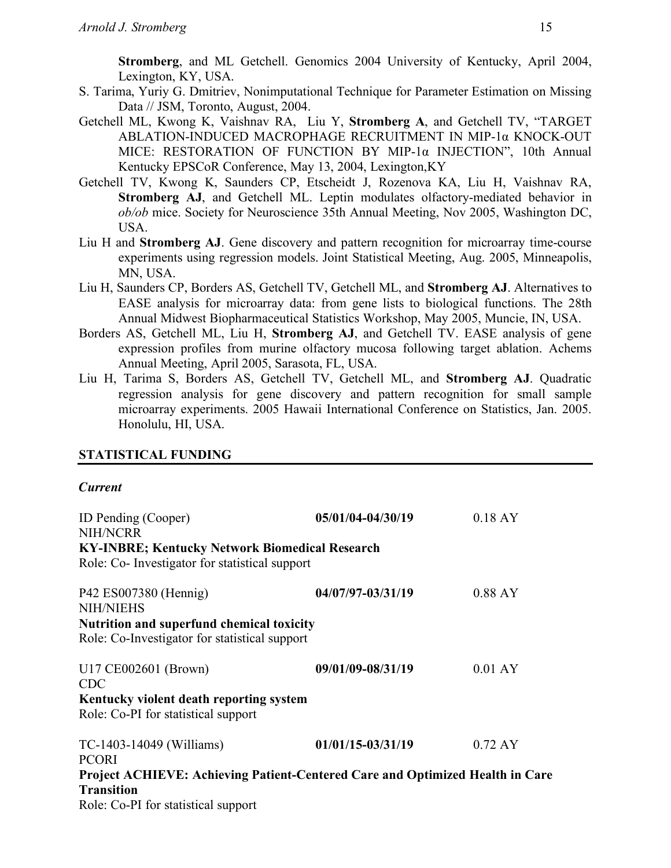**Stromberg**, and ML Getchell. Genomics 2004 University of Kentucky, April 2004, Lexington, KY, USA.

- S. Tarima, Yuriy G. Dmitriev, Nonimputational Technique for Parameter Estimation on Missing Data // JSM, Toronto, August, 2004.
- Getchell ML, Kwong K, Vaishnav RA, Liu Y, **Stromberg A**, and Getchell TV, "TARGET ABLATION-INDUCED MACROPHAGE RECRUITMENT IN MIP-1α KNOCK-OUT MICE: RESTORATION OF FUNCTION BY MIP-1α INJECTION", 10th Annual Kentucky EPSCoR Conference, May 13, 2004, Lexington,KY
- Getchell TV, Kwong K, Saunders CP, Etscheidt J, Rozenova KA, Liu H, Vaishnav RA, **Stromberg AJ**, and Getchell ML. Leptin modulates olfactory-mediated behavior in *ob/ob* mice. Society for Neuroscience 35th Annual Meeting, Nov 2005, Washington DC, USA.
- Liu H and **Stromberg AJ**. Gene discovery and pattern recognition for microarray time-course experiments using regression models. Joint Statistical Meeting, Aug. 2005, Minneapolis, MN, USA.
- Liu H, Saunders CP, Borders AS, Getchell TV, Getchell ML, and **Stromberg AJ**. Alternatives to EASE analysis for microarray data: from gene lists to biological functions. The 28th Annual Midwest Biopharmaceutical Statistics Workshop, May 2005, Muncie, IN, USA.
- Borders AS, Getchell ML, Liu H, **Stromberg AJ**, and Getchell TV. EASE analysis of gene expression profiles from murine olfactory mucosa following target ablation. Achems Annual Meeting, April 2005, Sarasota, FL, USA.
- Liu H, Tarima S, Borders AS, Getchell TV, Getchell ML, and **Stromberg AJ**. Quadratic regression analysis for gene discovery and pattern recognition for small sample microarray experiments. 2005 Hawaii International Conference on Statistics, Jan. 2005. Honolulu, HI, USA.

## **STATISTICAL FUNDING**

### *Current*

| ID Pending (Cooper)<br><b>NIH/NCRR</b>                                                                  | 05/01/04-04/30/19     | $0.18 \text{ AY}$ |
|---------------------------------------------------------------------------------------------------------|-----------------------|-------------------|
| <b>KY-INBRE; Kentucky Network Biomedical Research</b><br>Role: Co- Investigator for statistical support |                       |                   |
| P42 ES007380 (Hennig)<br><b>NIH/NIEHS</b>                                                               | 04/07/97-03/31/19     | $0.88$ AY         |
| <b>Nutrition and superfund chemical toxicity</b><br>Role: Co-Investigator for statistical support       |                       |                   |
| U17 CE002601 (Brown)<br><b>CDC</b>                                                                      | 09/01/09-08/31/19     | $0.01 \text{ AY}$ |
| Kentucky violent death reporting system<br>Role: Co-PI for statistical support                          |                       |                   |
| TC-1403-14049 (Williams)<br><b>PCORI</b>                                                                | $01/01/15 - 03/31/19$ | $0.72 \text{ AY}$ |
| Project ACHIEVE: Achieving Patient-Centered Care and Optimized Health in Care<br><b>Transition</b>      |                       |                   |
| Role: Co-PI for statistical support                                                                     |                       |                   |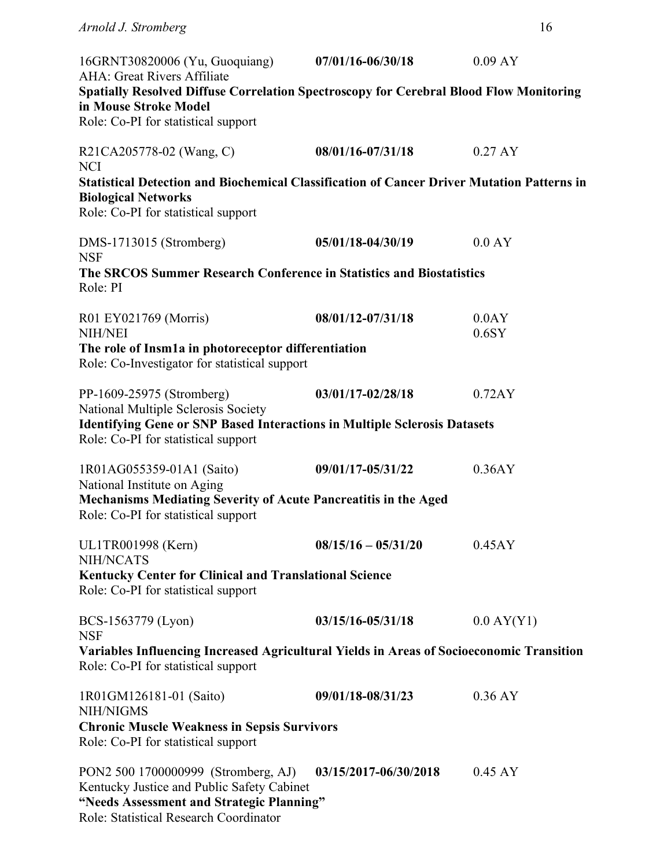| 16GRNT30820006 (Yu, Guoquiang)<br>AHA: Great Rivers Affiliate                                                                                                            | $07/01/16 - 06/30/18$ | 0.09 AY           |
|--------------------------------------------------------------------------------------------------------------------------------------------------------------------------|-----------------------|-------------------|
| Spatially Resolved Diffuse Correlation Spectroscopy for Cerebral Blood Flow Monitoring                                                                                   |                       |                   |
| in Mouse Stroke Model<br>Role: Co-PI for statistical support                                                                                                             |                       |                   |
| R21CA205778-02 (Wang, C)<br><b>NCI</b>                                                                                                                                   | 08/01/16-07/31/18     | $0.27 \text{ AY}$ |
| <b>Statistical Detection and Biochemical Classification of Cancer Driver Mutation Patterns in</b><br><b>Biological Networks</b><br>Role: Co-PI for statistical support   |                       |                   |
| DMS-1713015 (Stromberg)<br><b>NSF</b>                                                                                                                                    | 05/01/18-04/30/19     | 0.0 AY            |
| The SRCOS Summer Research Conference in Statistics and Biostatistics<br>Role: PI                                                                                         |                       |                   |
| R01 EY021769 (Morris)<br><b>NIH/NEI</b>                                                                                                                                  | 08/01/12-07/31/18     | 0.0AY<br>$0.6$ SY |
| The role of Insm1a in photoreceptor differentiation<br>Role: Co-Investigator for statistical support                                                                     |                       |                   |
| PP-1609-25975 (Stromberg)<br>National Multiple Sclerosis Society                                                                                                         | 03/01/17-02/28/18     | 0.72AY            |
| <b>Identifying Gene or SNP Based Interactions in Multiple Sclerosis Datasets</b><br>Role: Co-PI for statistical support                                                  |                       |                   |
| 1R01AG055359-01A1 (Saito)<br>National Institute on Aging                                                                                                                 | 09/01/17-05/31/22     | 0.36AY            |
| Mechanisms Mediating Severity of Acute Pancreatitis in the Aged<br>Role: Co-PI for statistical support                                                                   |                       |                   |
| UL1TR001998 (Kern)<br>NIH/NCATS                                                                                                                                          | $08/15/16 - 05/31/20$ | 0.45AY            |
| <b>Kentucky Center for Clinical and Translational Science</b><br>Role: Co-PI for statistical support                                                                     |                       |                   |
| BCS-1563779 (Lyon)<br><b>NSF</b>                                                                                                                                         | 03/15/16-05/31/18     | $0.0$ AY(Y1)      |
| Variables Influencing Increased Agricultural Yields in Areas of Socioeconomic Transition<br>Role: Co-PI for statistical support                                          |                       |                   |
| 1R01GM126181-01 (Saito)<br>NIH/NIGMS                                                                                                                                     | 09/01/18-08/31/23     | $0.36 \text{ AY}$ |
| <b>Chronic Muscle Weakness in Sepsis Survivors</b><br>Role: Co-PI for statistical support                                                                                |                       |                   |
| PON2 500 1700000999 (Stromberg, AJ)<br>Kentucky Justice and Public Safety Cabinet<br>"Needs Assessment and Strategic Planning"<br>Role: Statistical Research Coordinator | 03/15/2017-06/30/2018 | $0.45 \text{ AY}$ |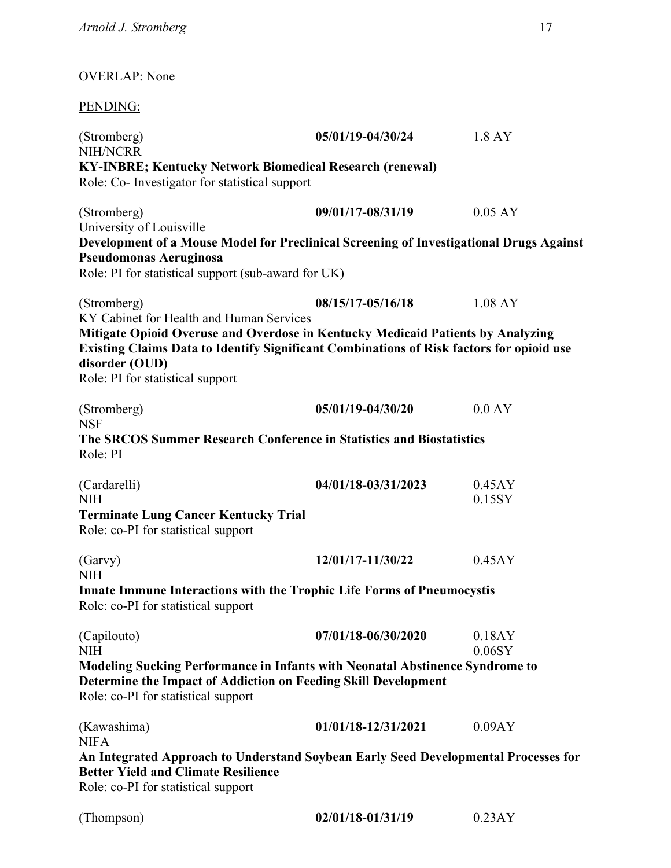# OVERLAP: None

# PENDING:

| (Stromberg)<br>NIH/NCRR                             | 05/01/19-04/30/24                                                                                                                                                           | 1.8 AY            |
|-----------------------------------------------------|-----------------------------------------------------------------------------------------------------------------------------------------------------------------------------|-------------------|
|                                                     | <b>KY-INBRE; Kentucky Network Biomedical Research (renewal)</b>                                                                                                             |                   |
| Role: Co- Investigator for statistical support      |                                                                                                                                                                             |                   |
| (Stromberg)                                         | 09/01/17-08/31/19                                                                                                                                                           | $0.05 \text{ AY}$ |
| University of Louisville                            |                                                                                                                                                                             |                   |
|                                                     | Development of a Mouse Model for Preclinical Screening of Investigational Drugs Against                                                                                     |                   |
| Pseudomonas Aeruginosa                              |                                                                                                                                                                             |                   |
| Role: PI for statistical support (sub-award for UK) |                                                                                                                                                                             |                   |
| (Stromberg)                                         | 08/15/17-05/16/18                                                                                                                                                           | $1.08 \text{ AY}$ |
| KY Cabinet for Health and Human Services            |                                                                                                                                                                             |                   |
| disorder (OUD)                                      | Mitigate Opioid Overuse and Overdose in Kentucky Medicaid Patients by Analyzing<br>Existing Claims Data to Identify Significant Combinations of Risk factors for opioid use |                   |
| Role: PI for statistical support                    |                                                                                                                                                                             |                   |
| (Stromberg)                                         | 05/01/19-04/30/20                                                                                                                                                           | 0.0 AY            |
| <b>NSF</b>                                          |                                                                                                                                                                             |                   |
|                                                     | The SRCOS Summer Research Conference in Statistics and Biostatistics                                                                                                        |                   |
| Role: PI                                            |                                                                                                                                                                             |                   |
| (Cardarelli)                                        | 04/01/18-03/31/2023                                                                                                                                                         | 0.45AY            |
| <b>NIH</b>                                          |                                                                                                                                                                             | 0.15SY            |
| <b>Terminate Lung Cancer Kentucky Trial</b>         |                                                                                                                                                                             |                   |
| Role: co-PI for statistical support                 |                                                                                                                                                                             |                   |
| (Garvy)                                             | 12/01/17-11/30/22                                                                                                                                                           | 0.45AY            |
| NIH                                                 |                                                                                                                                                                             |                   |
| Role: co-PI for statistical support                 | <b>Innate Immune Interactions with the Trophic Life Forms of Pneumocystis</b>                                                                                               |                   |
|                                                     |                                                                                                                                                                             |                   |
| (Capilouto)                                         | 07/01/18-06/30/2020                                                                                                                                                         | 0.18AY            |
| NIH                                                 |                                                                                                                                                                             | $0.06$ SY         |
|                                                     | <b>Modeling Sucking Performance in Infants with Neonatal Abstinence Syndrome to</b><br>Determine the Impact of Addiction on Feeding Skill Development                       |                   |
| Role: co-PI for statistical support                 |                                                                                                                                                                             |                   |
|                                                     |                                                                                                                                                                             |                   |
| (Kawashima)                                         | 01/01/18-12/31/2021                                                                                                                                                         | 0.09AY            |
| <b>NIFA</b>                                         |                                                                                                                                                                             |                   |
| <b>Better Yield and Climate Resilience</b>          | An Integrated Approach to Understand Soybean Early Seed Developmental Processes for                                                                                         |                   |
| Role: co-PI for statistical support                 |                                                                                                                                                                             |                   |

| 02/01/18-01/31/19<br>0.23AY |
|-----------------------------|
|                             |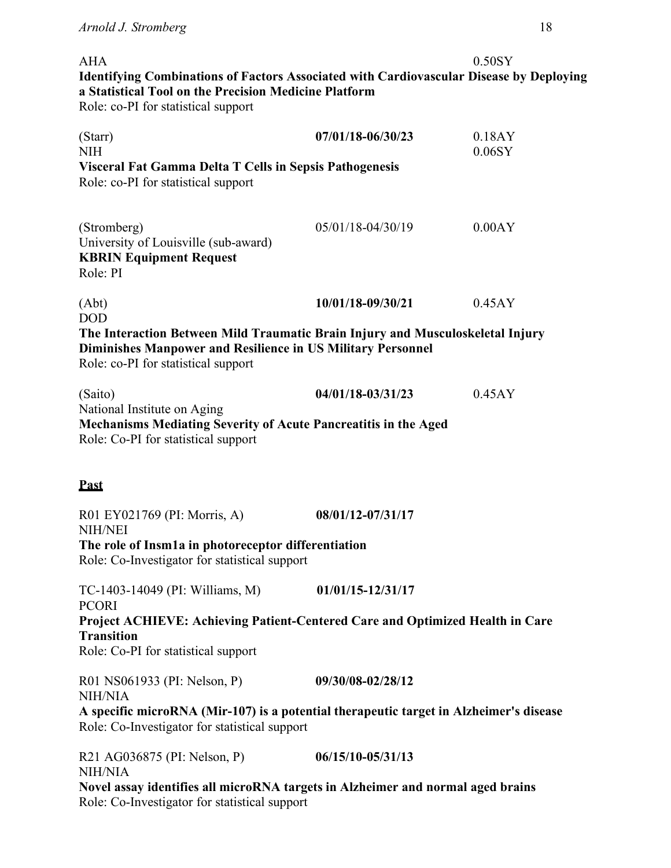| <b>AHA</b>                                                                                                                                                                                                |                       | $0.50$ SY           |
|-----------------------------------------------------------------------------------------------------------------------------------------------------------------------------------------------------------|-----------------------|---------------------|
| <b>Identifying Combinations of Factors Associated with Cardiovascular Disease by Deploying</b><br>a Statistical Tool on the Precision Medicine Platform<br>Role: co-PI for statistical support            |                       |                     |
| (Starr)<br><b>NIH</b>                                                                                                                                                                                     | 07/01/18-06/30/23     | 0.18AY<br>$0.06$ SY |
| Visceral Fat Gamma Delta T Cells in Sepsis Pathogenesis<br>Role: co-PI for statistical support                                                                                                            |                       |                     |
| (Stromberg)<br>University of Louisville (sub-award)<br><b>KBRIN Equipment Request</b><br>Role: PI                                                                                                         | 05/01/18-04/30/19     | 0.00AY              |
| (Abt)                                                                                                                                                                                                     | 10/01/18-09/30/21     | 0.45AY              |
| <b>DOD</b><br>The Interaction Between Mild Traumatic Brain Injury and Musculoskeletal Injury<br><b>Diminishes Manpower and Resilience in US Military Personnel</b><br>Role: co-PI for statistical support |                       |                     |
| (Saito)                                                                                                                                                                                                   | 04/01/18-03/31/23     | 0.45AY              |
| National Institute on Aging<br>Mechanisms Mediating Severity of Acute Pancreatitis in the Aged<br>Role: Co-PI for statistical support                                                                     |                       |                     |
| <b>Past</b>                                                                                                                                                                                               |                       |                     |
| R01 EY021769 (PI: Morris, A)<br><b>NIH/NEI</b>                                                                                                                                                            | 08/01/12-07/31/17     |                     |
| The role of Insm1a in photoreceptor differentiation<br>Role: Co-Investigator for statistical support                                                                                                      |                       |                     |
| TC-1403-14049 (PI: Williams, M)<br><b>PCORI</b>                                                                                                                                                           | $01/01/15 - 12/31/17$ |                     |
| Project ACHIEVE: Achieving Patient-Centered Care and Optimized Health in Care<br><b>Transition</b>                                                                                                        |                       |                     |
| Role: Co-PI for statistical support                                                                                                                                                                       |                       |                     |
| R01 NS061933 (PI: Nelson, P)<br><b>NIH/NIA</b>                                                                                                                                                            | 09/30/08-02/28/12     |                     |
| A specific microRNA (Mir-107) is a potential therapeutic target in Alzheimer's disease<br>Role: Co-Investigator for statistical support                                                                   |                       |                     |
| R21 AG036875 (PI: Nelson, P)<br><b>NIH/NIA</b>                                                                                                                                                            | 06/15/10-05/31/13     |                     |
| Novel assay identifies all microRNA targets in Alzheimer and normal aged brains<br>Role: Co-Investigator for statistical support                                                                          |                       |                     |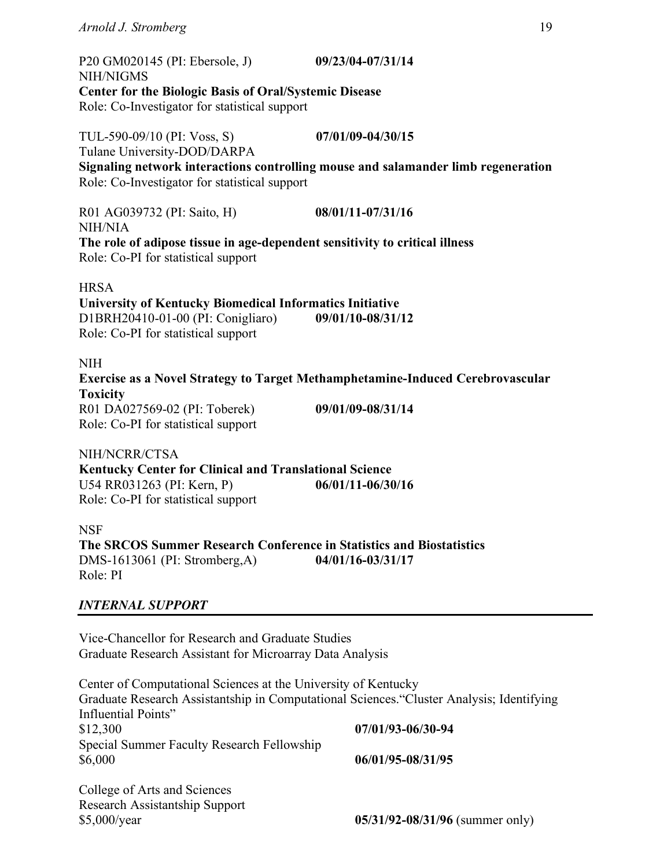| P20 GM020145 (PI: Ebersole, J)                                                                                              | 09/23/04-07/31/14                                                                 |  |
|-----------------------------------------------------------------------------------------------------------------------------|-----------------------------------------------------------------------------------|--|
| NIH/NIGMS<br><b>Center for the Biologic Basis of Oral/Systemic Disease</b><br>Role: Co-Investigator for statistical support |                                                                                   |  |
| TUL-590-09/10 (PI: Voss, S)<br>Tulane University-DOD/DARPA                                                                  | 07/01/09-04/30/15                                                                 |  |
| Role: Co-Investigator for statistical support                                                                               | Signaling network interactions controlling mouse and salamander limb regeneration |  |
| R01 AG039732 (PI: Saito, H)<br>NIH/NIA                                                                                      | 08/01/11-07/31/16                                                                 |  |
| The role of adipose tissue in age-dependent sensitivity to critical illness<br>Role: Co-PI for statistical support          |                                                                                   |  |
| <b>HRSA</b>                                                                                                                 |                                                                                   |  |
| University of Kentucky Biomedical Informatics Initiative                                                                    |                                                                                   |  |
| D1BRH20410-01-00 (PI: Conigliaro)<br>Role: Co-PI for statistical support                                                    | 09/01/10-08/31/12                                                                 |  |
| NIH                                                                                                                         |                                                                                   |  |
|                                                                                                                             | Exercise as a Novel Strategy to Target Methamphetamine-Induced Cerebrovascular    |  |
| <b>Toxicity</b>                                                                                                             |                                                                                   |  |
| R01 DA027569-02 (PI: Toberek)                                                                                               | 09/01/09-08/31/14                                                                 |  |
| Role: Co-PI for statistical support                                                                                         |                                                                                   |  |
| NIH/NCRR/CTSA                                                                                                               |                                                                                   |  |
| <b>Kentucky Center for Clinical and Translational Science</b>                                                               |                                                                                   |  |
| U54 RR031263 (PI: Kern, P)                                                                                                  | 06/01/11-06/30/16                                                                 |  |
| Role: Co-PI for statistical support                                                                                         |                                                                                   |  |
|                                                                                                                             |                                                                                   |  |

NSF **The SRCOS Summer Research Conference in Statistics and Biostatistics** DMS-1613061 (PI: Stromberg,A) **04/01/16-03/31/17** Role: PI

# *INTERNAL SUPPORT*

Vice-Chancellor for Research and Graduate Studies Graduate Research Assistant for Microarray Data Analysis

Center of Computational Sciences at the University of Kentucky Graduate Research Assistantship in Computational Sciences."Cluster Analysis; Identifying Influential Points" \$12,300 **07/01/93-06/30-94** Special Summer Faculty Research Fellowship \$6,000 **06/01/95-08/31/95**

College of Arts and Sciences Research Assistantship Support

\$5,000/year **05/31/92-08/31/96** (summer only)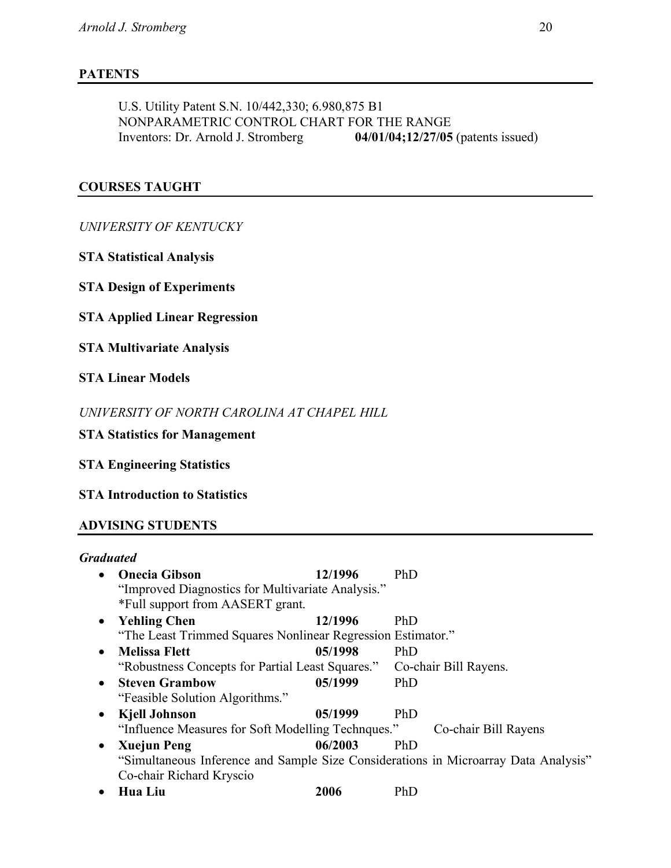# **PATENTS**

U.S. Utility Patent S.N. 10/442,330; 6.980,875 B1 NONPARAMETRIC CONTROL CHART FOR THE RANGE Inventors: Dr. Arnold J. Stromberg **04/01/04;12/27/05** (patents issued)

# **COURSES TAUGHT**

*UNIVERSITY OF KENTUCKY*

**STA Statistical Analysis**

**STA Design of Experiments** 

**STA Applied Linear Regression**

**STA Multivariate Analysis**

**STA Linear Models**

*UNIVERSITY OF NORTH CAROLINA AT CHAPEL HILL*

**STA Statistics for Management**

**STA Engineering Statistics**

**STA Introduction to Statistics**

# **ADVISING STUDENTS**

| <b>Graduated</b>                                            |         |                                                                                     |
|-------------------------------------------------------------|---------|-------------------------------------------------------------------------------------|
| <b>Onecia Gibson</b><br>$\bullet$                           | 12/1996 | PhD                                                                                 |
| "Improved Diagnostics for Multivariate Analysis."           |         |                                                                                     |
| *Full support from AASERT grant.                            |         |                                                                                     |
| • Yehling Chen                                              | 12/1996 | PhD                                                                                 |
| "The Least Trimmed Squares Nonlinear Regression Estimator." |         |                                                                                     |
| <b>Melissa Flett</b><br>$\bullet$                           | 05/1998 | PhD                                                                                 |
| "Robustness Concepts for Partial Least Squares."            |         | Co-chair Bill Rayens.                                                               |
| <b>Steven Grambow</b><br>$\bullet$                          | 05/1999 | PhD                                                                                 |
| "Feasible Solution Algorithms."                             |         |                                                                                     |
| Kjell Johnson<br>$\bullet$                                  | 05/1999 | PhD                                                                                 |
| "Influence Measures for Soft Modelling Technques."          |         | Co-chair Bill Rayens                                                                |
| <b>Xuejun Peng</b><br>$\bullet$                             | 06/2003 | <b>PhD</b>                                                                          |
|                                                             |         | "Simultaneous Inference and Sample Size Considerations in Microarray Data Analysis" |
| Co-chair Richard Kryscio                                    |         |                                                                                     |
| Hua Liu<br>٠                                                | 2006    | PhD                                                                                 |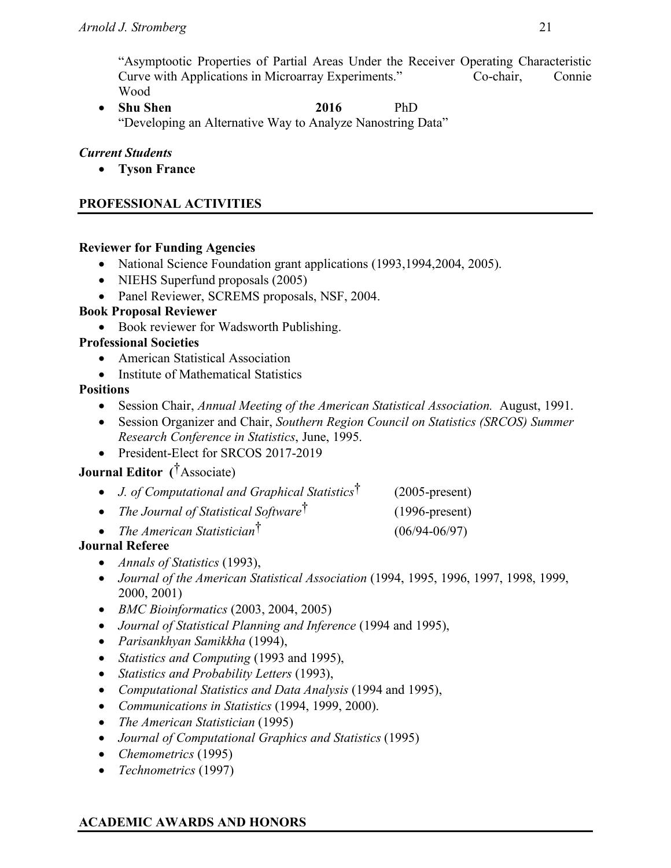"Asymptootic Properties of Partial Areas Under the Receiver Operating Characteristic Curve with Applications in Microarray Experiments." Co-chair, Connie Wood

• **Shu Shen 2016** PhD "Developing an Alternative Way to Analyze Nanostring Data"

# *Current Students*

• **Tyson France**

# **PROFESSIONAL ACTIVITIES**

## **Reviewer for Funding Agencies**

- National Science Foundation grant applications (1993, 1994, 2004, 2005).
- NIEHS Superfund proposals (2005)
- Panel Reviewer, SCREMS proposals, NSF, 2004.

## **Book Proposal Reviewer**

• Book reviewer for Wadsworth Publishing.

## **Professional Societies**

- American Statistical Association
- Institute of Mathematical Statistics

## **Positions**

- Session Chair, *Annual Meeting of the American Statistical Association.* August, 1991.
- Session Organizer and Chair, *Southern Region Council on Statistics (SRCOS) Summer Research Conference in Statistics*, June, 1995.
- President-Elect for SRCOS 2017-2019

# **Journal Editor (**†Associate)

- *J. of Computational and Graphical Statistics*† (2005-present)
- *The Journal of Statistical Software*† (1996-present)
- *The American Statistician*† (06/94-06/97)

# **Journal Referee**

- *Annals of Statistics* (1993),
- *Journal of the American Statistical Association* (1994, 1995, 1996, 1997, 1998, 1999, 2000, 2001)
- *BMC Bioinformatics* (2003, 2004, 2005)
- *Journal of Statistical Planning and Inference* (1994 and 1995),
- *Parisankhyan Samikkha* (1994),
- *Statistics and Computing* (1993 and 1995),
- *Statistics and Probability Letters* (1993),
- *Computational Statistics and Data Analysis* (1994 and 1995),
- *Communications in Statistics* (1994, 1999, 2000).
- *The American Statistician* (1995)
- *Journal of Computational Graphics and Statistics* (1995)
- *Chemometrics* (1995)
- *Technometrics* (1997)

# **ACADEMIC AWARDS AND HONORS**